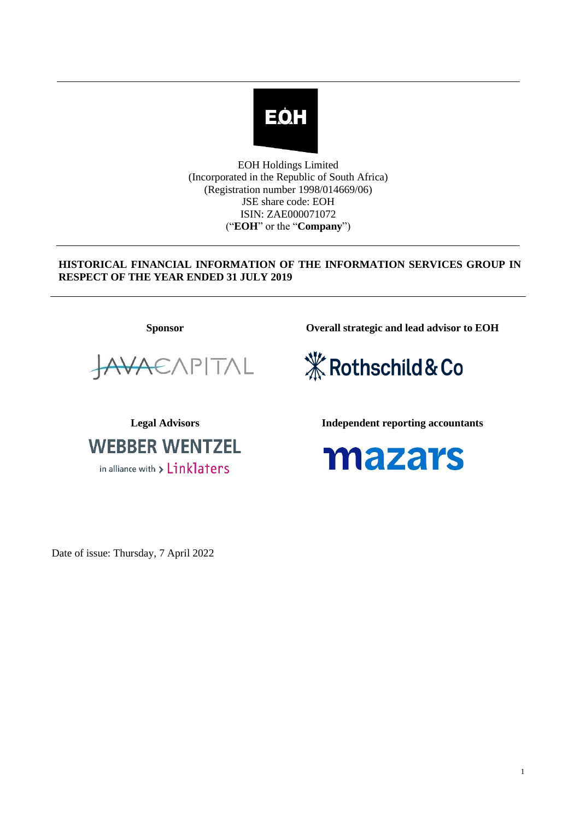

EOH Holdings Limited (Incorporated in the Republic of South Africa) (Registration number 1998/014669/06) JSE share code: EOH ISIN: ZAE000071072 ("**EOH**" or the "**Company**")

# **HISTORICAL FINANCIAL INFORMATION OF THE INFORMATION SERVICES GROUP IN RESPECT OF THE YEAR ENDED 31 JULY 2019**

**Sponsor Overall strategic and lead advisor to EOH**



*X* Rothschild & Co

**WEBBER WENTZEL** in alliance with  $\triangleright$   $Linklators$ 

**Legal Advisors Independent reporting accountants**



Date of issue: Thursday, 7 April 2022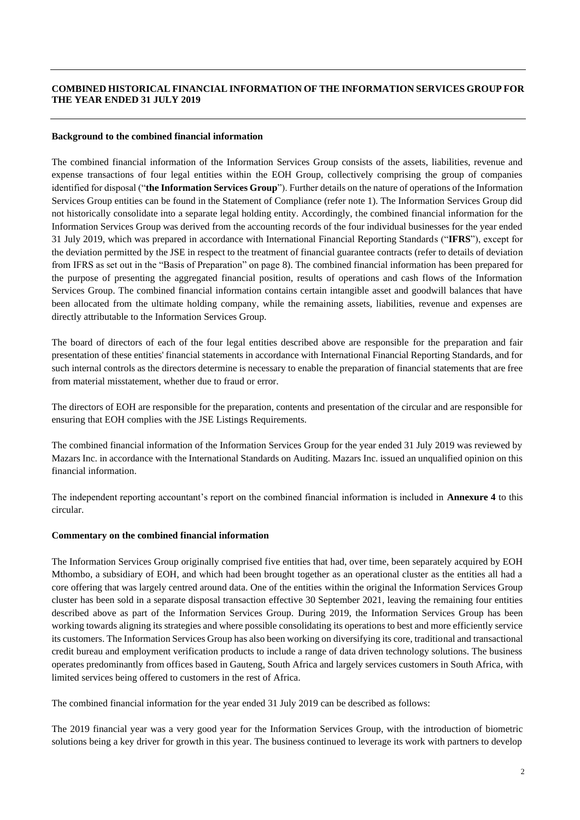### **COMBINED HISTORICAL FINANCIAL INFORMATION OF THE INFORMATION SERVICES GROUP FOR THE YEAR ENDED 31 JULY 2019**

#### **Background to the combined financial information**

The combined financial information of the Information Services Group consists of the assets, liabilities, revenue and expense transactions of four legal entities within the EOH Group, collectively comprising the group of companies identified for disposal ("**the Information Services Group**"). Further details on the nature of operations of the Information Services Group entities can be found in the Statement of Compliance (refer note 1). The Information Services Group did not historically consolidate into a separate legal holding entity. Accordingly, the combined financial information for the Information Services Group was derived from the accounting records of the four individual businesses for the year ended 31 July 2019, which was prepared in accordance with International Financial Reporting Standards ("**IFRS**"), except for the deviation permitted by the JSE in respect to the treatment of financial guarantee contracts (refer to details of deviation from IFRS as set out in the "Basis of Preparation" on page 8). The combined financial information has been prepared for the purpose of presenting the aggregated financial position, results of operations and cash flows of the Information Services Group. The combined financial information contains certain intangible asset and goodwill balances that have been allocated from the ultimate holding company, while the remaining assets, liabilities, revenue and expenses are directly attributable to the Information Services Group.

The board of directors of each of the four legal entities described above are responsible for the preparation and fair presentation of these entities' financial statements in accordance with International Financial Reporting Standards, and for such internal controls as the directors determine is necessary to enable the preparation of financial statements that are free from material misstatement, whether due to fraud or error.

The directors of EOH are responsible for the preparation, contents and presentation of the circular and are responsible for ensuring that EOH complies with the JSE Listings Requirements.

The combined financial information of the Information Services Group for the year ended 31 July 2019 was reviewed by Mazars Inc. in accordance with the International Standards on Auditing. Mazars Inc. issued an unqualified opinion on this financial information.

The independent reporting accountant's report on the combined financial information is included in **Annexure 4** to this circular.

#### **Commentary on the combined financial information**

The Information Services Group originally comprised five entities that had, over time, been separately acquired by EOH Mthombo, a subsidiary of EOH, and which had been brought together as an operational cluster as the entities all had a core offering that was largely centred around data. One of the entities within the original the Information Services Group cluster has been sold in a separate disposal transaction effective 30 September 2021, leaving the remaining four entities described above as part of the Information Services Group. During 2019, the Information Services Group has been working towards aligning its strategies and where possible consolidating its operations to best and more efficiently service its customers. The Information Services Group has also been working on diversifying its core, traditional and transactional credit bureau and employment verification products to include a range of data driven technology solutions. The business operates predominantly from offices based in Gauteng, South Africa and largely services customers in South Africa, with limited services being offered to customers in the rest of Africa.

The combined financial information for the year ended 31 July 2019 can be described as follows:

The 2019 financial year was a very good year for the Information Services Group, with the introduction of biometric solutions being a key driver for growth in this year. The business continued to leverage its work with partners to develop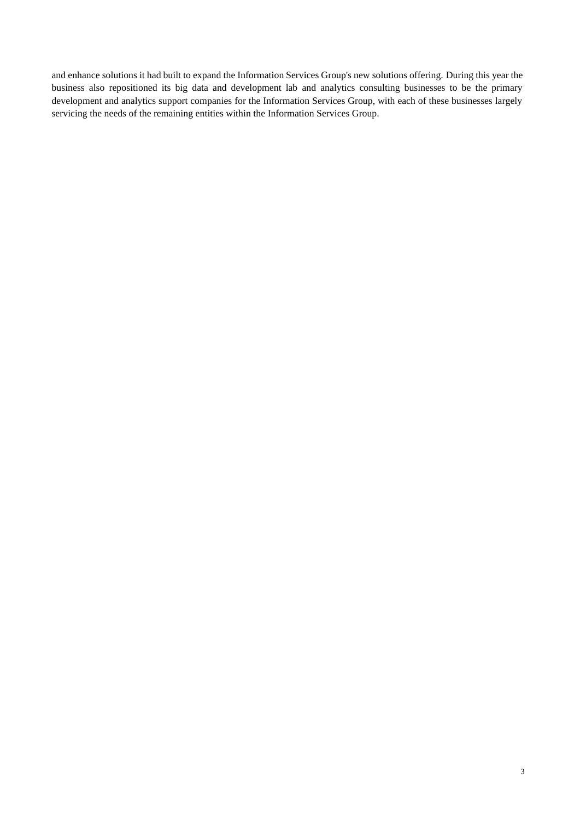and enhance solutions it had built to expand the Information Services Group's new solutions offering. During this year the business also repositioned its big data and development lab and analytics consulting businesses to be the primary development and analytics support companies for the Information Services Group, with each of these businesses largely servicing the needs of the remaining entities within the Information Services Group.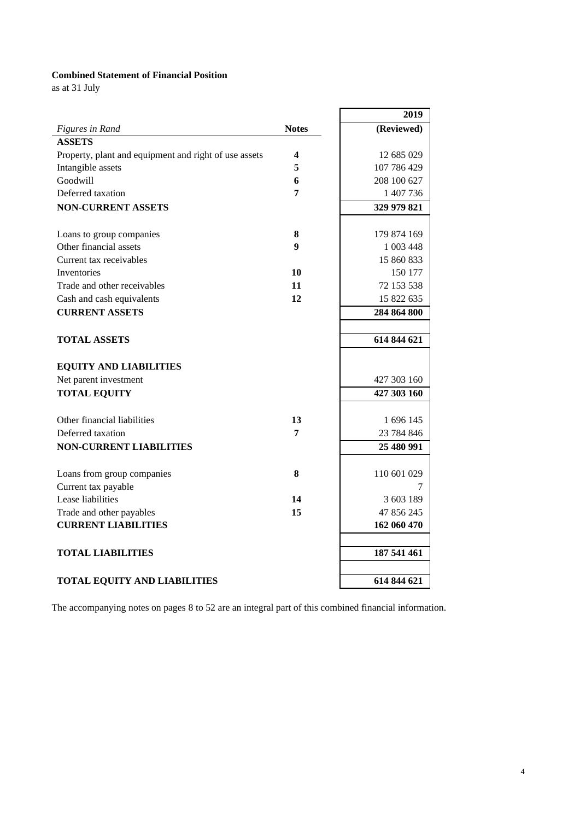## **Combined Statement of Financial Position**

as at 31 July

|                                                       |              | 2019        |
|-------------------------------------------------------|--------------|-------------|
| Figures in Rand                                       | <b>Notes</b> | (Reviewed)  |
| <b>ASSETS</b>                                         |              |             |
| Property, plant and equipment and right of use assets | 4            | 12 685 029  |
| Intangible assets                                     | 5            | 107 786 429 |
| Goodwill                                              | 6            | 208 100 627 |
| Deferred taxation                                     | 7            | 1 407 736   |
| <b>NON-CURRENT ASSETS</b>                             |              | 329 979 821 |
|                                                       |              |             |
| Loans to group companies                              | 8            | 179 874 169 |
| Other financial assets                                | 9            | 1 003 448   |
| Current tax receivables                               |              | 15 860 833  |
| <b>Inventories</b>                                    | 10           | 150 177     |
| Trade and other receivables                           | 11           | 72 153 538  |
| Cash and cash equivalents                             | 12           | 15 822 635  |
| <b>CURRENT ASSETS</b>                                 |              | 284 864 800 |
|                                                       |              |             |
| <b>TOTAL ASSETS</b>                                   |              | 614 844 621 |
| <b>EQUITY AND LIABILITIES</b>                         |              |             |
| Net parent investment                                 |              | 427 303 160 |
| <b>TOTAL EQUITY</b>                                   |              | 427 303 160 |
|                                                       |              |             |
| Other financial liabilities                           | 13           | 1 696 145   |
| Deferred taxation                                     | 7            | 23 784 846  |
| <b>NON-CURRENT LIABILITIES</b>                        |              | 25 480 991  |
|                                                       |              |             |
| Loans from group companies                            | 8            | 110 601 029 |
| Current tax payable                                   |              | 7           |
| Lease liabilities                                     | 14           | 3 603 189   |
| Trade and other payables                              | 15           | 47 856 245  |
| <b>CURRENT LIABILITIES</b>                            |              | 162 060 470 |
|                                                       |              |             |
| <b>TOTAL LIABILITIES</b>                              |              | 187 541 461 |
|                                                       |              |             |
| <b>TOTAL EQUITY AND LIABILITIES</b>                   |              | 614 844 621 |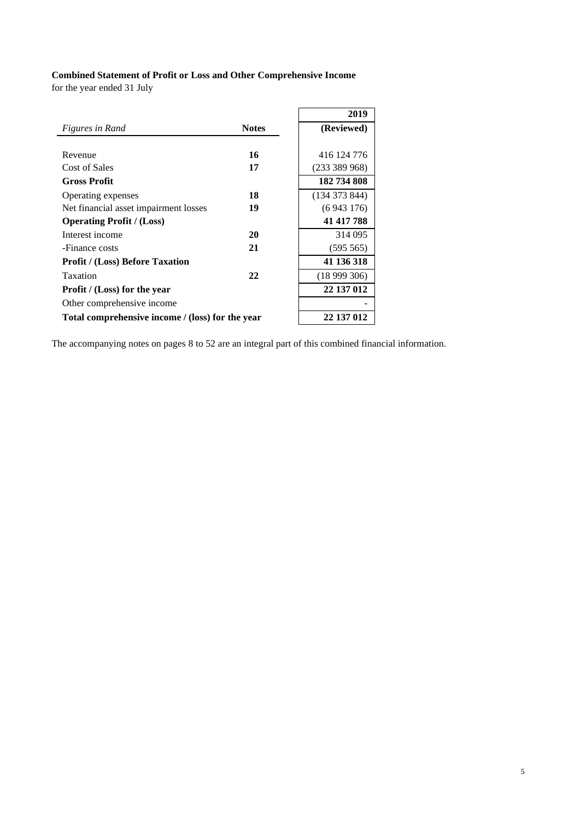# **Combined Statement of Profit or Loss and Other Comprehensive Income**

for the year ended 31 July

|                                                  |              | 2019          |
|--------------------------------------------------|--------------|---------------|
| <i>Figures in Rand</i>                           | <b>Notes</b> | (Reviewed)    |
|                                                  |              |               |
| Revenue                                          | 16           | 416 124 776   |
| Cost of Sales                                    | 17           | (233 389 968) |
| <b>Gross Profit</b>                              |              | 182 734 808   |
| Operating expenses                               | 18           | (134373844)   |
| Net financial asset impairment losses            | 19           | (6943176)     |
| <b>Operating Profit</b> / (Loss)                 |              | 41 417 788    |
| Interest income                                  | 20           | 314 095       |
| -Finance costs                                   | 21           | (595 565)     |
| <b>Profit / (Loss) Before Taxation</b>           |              | 41 136 318    |
| Taxation                                         | 22           | (18999306)    |
| <b>Profit</b> / (Loss) for the year              |              | 22 137 012    |
| Other comprehensive income                       |              |               |
| Total comprehensive income / (loss) for the year |              | 22 137 012    |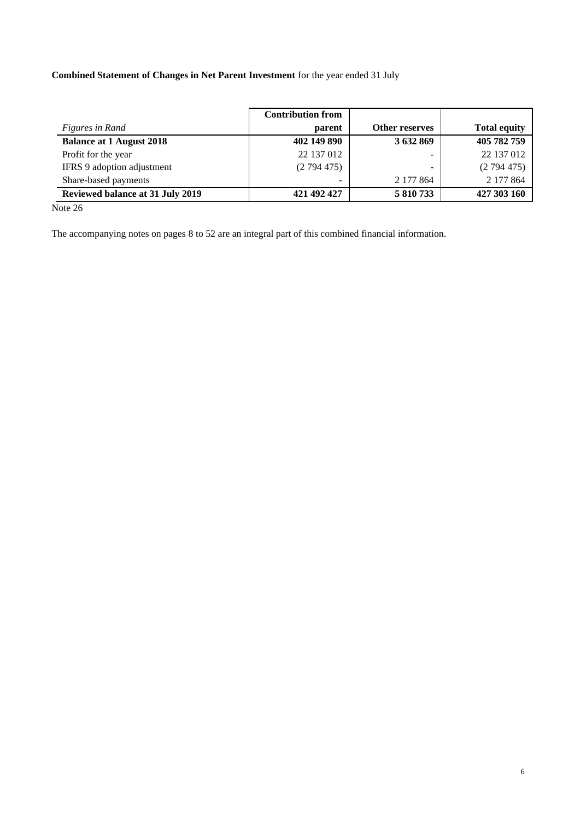# **Combined Statement of Changes in Net Parent Investment** for the year ended 31 July

|                                         | <b>Contribution from</b> |                |                     |
|-----------------------------------------|--------------------------|----------------|---------------------|
| <i>Figures in Rand</i>                  | parent                   | Other reserves | <b>Total equity</b> |
| <b>Balance at 1 August 2018</b>         | 402 149 890              | 3 632 869      | 405 782 759         |
| Profit for the year                     | 22 137 012               |                | 22 137 012          |
| IFRS 9 adoption adjustment              | (2794475)                |                | (2794475)           |
| Share-based payments                    |                          | 2 177 864      | 2 177 864           |
| <b>Reviewed balance at 31 July 2019</b> | 421 492 427              | 5 810 733      | 427 303 160         |

Note 26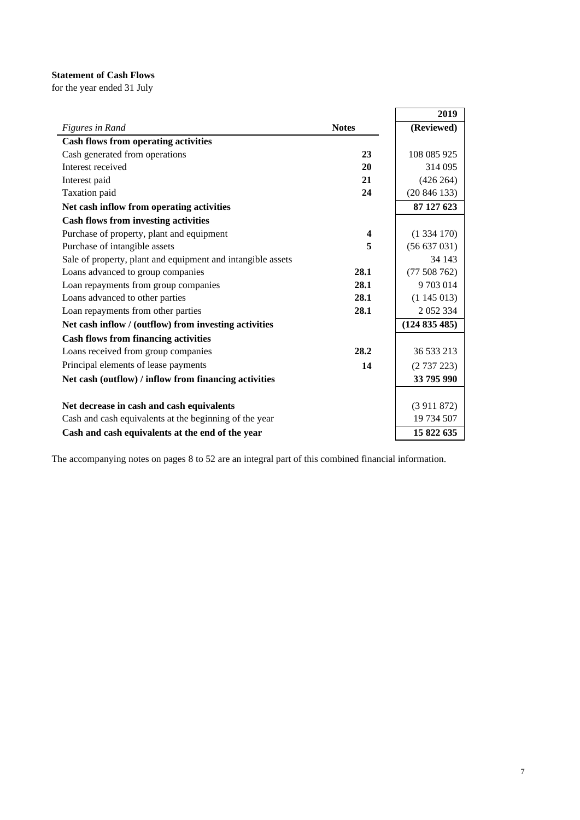## **Statement of Cash Flows**

for the year ended 31 July

|                                                             |                         | 2019        |
|-------------------------------------------------------------|-------------------------|-------------|
| Figures in Rand                                             | <b>Notes</b>            | (Reviewed)  |
| <b>Cash flows from operating activities</b>                 |                         |             |
| Cash generated from operations                              | 23                      | 108 085 925 |
| Interest received                                           | 20                      | 314 095     |
| Interest paid                                               | 21                      | (426 264)   |
| Taxation paid                                               | 24                      | (20846133)  |
| Net cash inflow from operating activities                   |                         | 87 127 623  |
| <b>Cash flows from investing activities</b>                 |                         |             |
| Purchase of property, plant and equipment                   | $\overline{\mathbf{4}}$ | (1334170)   |
| Purchase of intangible assets                               | 5                       | (56637031)  |
| Sale of property, plant and equipment and intangible assets |                         | 34 143      |
| Loans advanced to group companies                           | 28.1                    | (77508762)  |
| Loan repayments from group companies                        | 28.1                    | 9703014     |
| Loans advanced to other parties                             | 28.1                    | (1145013)   |
| Loan repayments from other parties                          | 28.1                    | 2052334     |
| Net cash inflow / (outflow) from investing activities       |                         | (124835485) |
| <b>Cash flows from financing activities</b>                 |                         |             |
| Loans received from group companies                         | 28.2                    | 36 533 213  |
| Principal elements of lease payments                        | 14                      | (2737223)   |
| Net cash (outflow) / inflow from financing activities       |                         | 33 795 990  |
|                                                             |                         |             |
| Net decrease in cash and cash equivalents                   |                         | (3911872)   |
| Cash and cash equivalents at the beginning of the year      |                         | 19 734 507  |
| Cash and cash equivalents at the end of the year            |                         | 15 822 635  |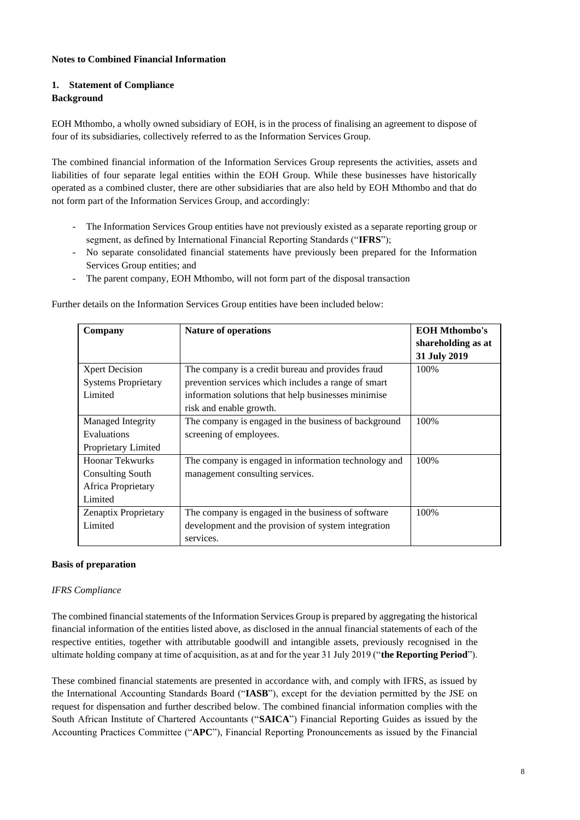### **Notes to Combined Financial Information**

## **1. Statement of Compliance**

### **Background**

EOH Mthombo, a wholly owned subsidiary of EOH, is in the process of finalising an agreement to dispose of four of its subsidiaries, collectively referred to as the Information Services Group.

The combined financial information of the Information Services Group represents the activities, assets and liabilities of four separate legal entities within the EOH Group. While these businesses have historically operated as a combined cluster, there are other subsidiaries that are also held by EOH Mthombo and that do not form part of the Information Services Group, and accordingly:

- The Information Services Group entities have not previously existed as a separate reporting group or segment, as defined by International Financial Reporting Standards ("**IFRS**");
- No separate consolidated financial statements have previously been prepared for the Information Services Group entities; and
- The parent company, EOH Mthombo, will not form part of the disposal transaction

Further details on the Information Services Group entities have been included below:

| Company                     | <b>Nature of operations</b>                          | <b>EOH Mthombo's</b> |
|-----------------------------|------------------------------------------------------|----------------------|
|                             |                                                      | shareholding as at   |
|                             |                                                      | 31 July 2019         |
| <b>Xpert Decision</b>       | The company is a credit bureau and provides fraud    | 100%                 |
| <b>Systems Proprietary</b>  | prevention services which includes a range of smart  |                      |
| Limited                     | information solutions that help businesses minimise  |                      |
|                             | risk and enable growth.                              |                      |
| Managed Integrity           | The company is engaged in the business of background | 100%                 |
| Evaluations                 | screening of employees.                              |                      |
| Proprietary Limited         |                                                      |                      |
| Hoonar Tekwurks             | The company is engaged in information technology and | 100\%                |
| <b>Consulting South</b>     | management consulting services.                      |                      |
| Africa Proprietary          |                                                      |                      |
| Limited                     |                                                      |                      |
| <b>Zenaptix Proprietary</b> | The company is engaged in the business of software   | 100\%                |
| Limited                     | development and the provision of system integration  |                      |
|                             | services.                                            |                      |

#### **Basis of preparation**

#### *IFRS Compliance*

The combined financial statements of the Information Services Group is prepared by aggregating the historical financial information of the entities listed above, as disclosed in the annual financial statements of each of the respective entities, together with attributable goodwill and intangible assets, previously recognised in the ultimate holding company at time of acquisition, as at and for the year 31 July 2019 ("**the Reporting Period**").

These combined financial statements are presented in accordance with, and comply with IFRS, as issued by the International Accounting Standards Board ("**IASB**"), except for the deviation permitted by the JSE on request for dispensation and further described below. The combined financial information complies with the South African Institute of Chartered Accountants ("**SAICA**") Financial Reporting Guides as issued by the Accounting Practices Committee ("**APC**"), Financial Reporting Pronouncements as issued by the Financial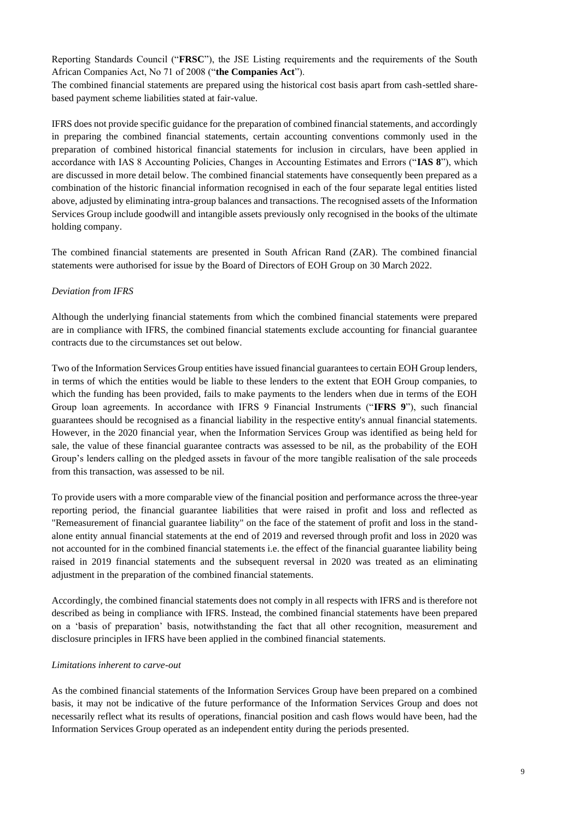Reporting Standards Council ("**FRSC**"), the JSE Listing requirements and the requirements of the South African Companies Act, No 71 of 2008 ("**the Companies Act**").

The combined financial statements are prepared using the historical cost basis apart from cash-settled sharebased payment scheme liabilities stated at fair-value.

IFRS does not provide specific guidance for the preparation of combined financial statements, and accordingly in preparing the combined financial statements, certain accounting conventions commonly used in the preparation of combined historical financial statements for inclusion in circulars, have been applied in accordance with IAS 8 Accounting Policies, Changes in Accounting Estimates and Errors ("**IAS 8**"), which are discussed in more detail below. The combined financial statements have consequently been prepared as a combination of the historic financial information recognised in each of the four separate legal entities listed above, adjusted by eliminating intra-group balances and transactions. The recognised assets of the Information Services Group include goodwill and intangible assets previously only recognised in the books of the ultimate holding company.

The combined financial statements are presented in South African Rand (ZAR). The combined financial statements were authorised for issue by the Board of Directors of EOH Group on 30 March 2022.

### *Deviation from IFRS*

Although the underlying financial statements from which the combined financial statements were prepared are in compliance with IFRS, the combined financial statements exclude accounting for financial guarantee contracts due to the circumstances set out below.

Two of the Information Services Group entities have issued financial guarantees to certain EOH Group lenders, in terms of which the entities would be liable to these lenders to the extent that EOH Group companies, to which the funding has been provided, fails to make payments to the lenders when due in terms of the EOH Group loan agreements. In accordance with IFRS 9 Financial Instruments ("**IFRS 9**"), such financial guarantees should be recognised as a financial liability in the respective entity's annual financial statements. However, in the 2020 financial year, when the Information Services Group was identified as being held for sale, the value of these financial guarantee contracts was assessed to be nil, as the probability of the EOH Group's lenders calling on the pledged assets in favour of the more tangible realisation of the sale proceeds from this transaction, was assessed to be nil.

To provide users with a more comparable view of the financial position and performance across the three-year reporting period, the financial guarantee liabilities that were raised in profit and loss and reflected as "Remeasurement of financial guarantee liability" on the face of the statement of profit and loss in the standalone entity annual financial statements at the end of 2019 and reversed through profit and loss in 2020 was not accounted for in the combined financial statements i.e. the effect of the financial guarantee liability being raised in 2019 financial statements and the subsequent reversal in 2020 was treated as an eliminating adjustment in the preparation of the combined financial statements.

Accordingly, the combined financial statements does not comply in all respects with IFRS and is therefore not described as being in compliance with IFRS. Instead, the combined financial statements have been prepared on a 'basis of preparation' basis, notwithstanding the fact that all other recognition, measurement and disclosure principles in IFRS have been applied in the combined financial statements.

#### *Limitations inherent to carve-out*

As the combined financial statements of the Information Services Group have been prepared on a combined basis, it may not be indicative of the future performance of the Information Services Group and does not necessarily reflect what its results of operations, financial position and cash flows would have been, had the Information Services Group operated as an independent entity during the periods presented.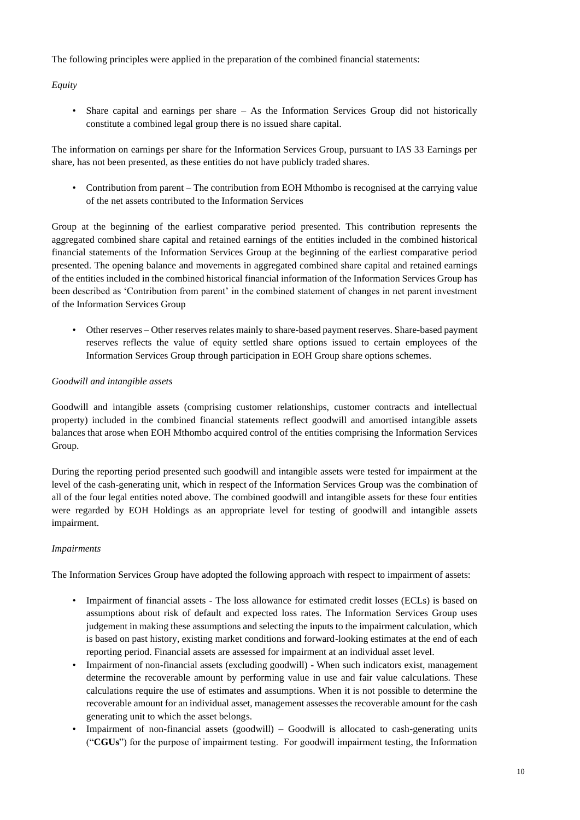The following principles were applied in the preparation of the combined financial statements:

*Equity*

• Share capital and earnings per share – As the Information Services Group did not historically constitute a combined legal group there is no issued share capital.

The information on earnings per share for the Information Services Group, pursuant to IAS 33 Earnings per share, has not been presented, as these entities do not have publicly traded shares.

• Contribution from parent – The contribution from EOH Mthombo is recognised at the carrying value of the net assets contributed to the Information Services

Group at the beginning of the earliest comparative period presented. This contribution represents the aggregated combined share capital and retained earnings of the entities included in the combined historical financial statements of the Information Services Group at the beginning of the earliest comparative period presented. The opening balance and movements in aggregated combined share capital and retained earnings of the entities included in the combined historical financial information of the Information Services Group has been described as 'Contribution from parent' in the combined statement of changes in net parent investment of the Information Services Group

• Other reserves – Other reserves relates mainly to share-based payment reserves. Share-based payment reserves reflects the value of equity settled share options issued to certain employees of the Information Services Group through participation in EOH Group share options schemes.

#### *Goodwill and intangible assets*

Goodwill and intangible assets (comprising customer relationships, customer contracts and intellectual property) included in the combined financial statements reflect goodwill and amortised intangible assets balances that arose when EOH Mthombo acquired control of the entities comprising the Information Services Group.

During the reporting period presented such goodwill and intangible assets were tested for impairment at the level of the cash-generating unit, which in respect of the Information Services Group was the combination of all of the four legal entities noted above. The combined goodwill and intangible assets for these four entities were regarded by EOH Holdings as an appropriate level for testing of goodwill and intangible assets impairment.

#### *Impairments*

The Information Services Group have adopted the following approach with respect to impairment of assets:

- Impairment of financial assets The loss allowance for estimated credit losses (ECLs) is based on assumptions about risk of default and expected loss rates. The Information Services Group uses judgement in making these assumptions and selecting the inputs to the impairment calculation, which is based on past history, existing market conditions and forward-looking estimates at the end of each reporting period. Financial assets are assessed for impairment at an individual asset level.
- Impairment of non-financial assets (excluding goodwill) When such indicators exist, management determine the recoverable amount by performing value in use and fair value calculations. These calculations require the use of estimates and assumptions. When it is not possible to determine the recoverable amount for an individual asset, management assesses the recoverable amount for the cash generating unit to which the asset belongs.
- Impairment of non-financial assets (goodwill) Goodwill is allocated to cash-generating units ("**CGUs**") for the purpose of impairment testing. For goodwill impairment testing, the Information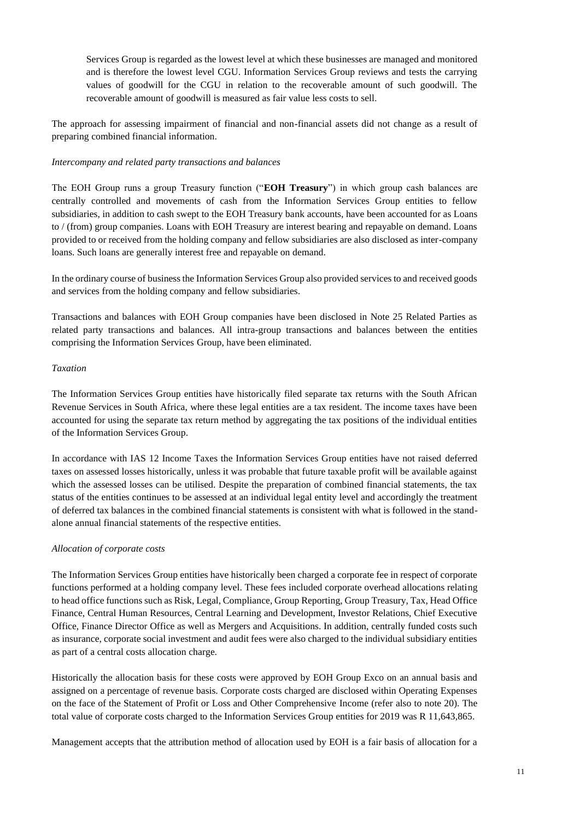Services Group is regarded as the lowest level at which these businesses are managed and monitored and is therefore the lowest level CGU. Information Services Group reviews and tests the carrying values of goodwill for the CGU in relation to the recoverable amount of such goodwill. The recoverable amount of goodwill is measured as fair value less costs to sell.

The approach for assessing impairment of financial and non-financial assets did not change as a result of preparing combined financial information.

#### *Intercompany and related party transactions and balances*

The EOH Group runs a group Treasury function ("**EOH Treasury**") in which group cash balances are centrally controlled and movements of cash from the Information Services Group entities to fellow subsidiaries, in addition to cash swept to the EOH Treasury bank accounts, have been accounted for as Loans to / (from) group companies. Loans with EOH Treasury are interest bearing and repayable on demand. Loans provided to or received from the holding company and fellow subsidiaries are also disclosed as inter-company loans. Such loans are generally interest free and repayable on demand.

In the ordinary course of business the Information Services Group also provided services to and received goods and services from the holding company and fellow subsidiaries.

Transactions and balances with EOH Group companies have been disclosed in Note 25 Related Parties as related party transactions and balances. All intra-group transactions and balances between the entities comprising the Information Services Group, have been eliminated.

#### *Taxation*

The Information Services Group entities have historically filed separate tax returns with the South African Revenue Services in South Africa, where these legal entities are a tax resident. The income taxes have been accounted for using the separate tax return method by aggregating the tax positions of the individual entities of the Information Services Group.

In accordance with IAS 12 Income Taxes the Information Services Group entities have not raised deferred taxes on assessed losses historically, unless it was probable that future taxable profit will be available against which the assessed losses can be utilised. Despite the preparation of combined financial statements, the tax status of the entities continues to be assessed at an individual legal entity level and accordingly the treatment of deferred tax balances in the combined financial statements is consistent with what is followed in the standalone annual financial statements of the respective entities.

#### *Allocation of corporate costs*

The Information Services Group entities have historically been charged a corporate fee in respect of corporate functions performed at a holding company level. These fees included corporate overhead allocations relating to head office functions such as Risk, Legal, Compliance, Group Reporting, Group Treasury, Tax, Head Office Finance, Central Human Resources, Central Learning and Development, Investor Relations, Chief Executive Office, Finance Director Office as well as Mergers and Acquisitions. In addition, centrally funded costs such as insurance, corporate social investment and audit fees were also charged to the individual subsidiary entities as part of a central costs allocation charge.

Historically the allocation basis for these costs were approved by EOH Group Exco on an annual basis and assigned on a percentage of revenue basis. Corporate costs charged are disclosed within Operating Expenses on the face of the Statement of Profit or Loss and Other Comprehensive Income (refer also to note 20). The total value of corporate costs charged to the Information Services Group entities for 2019 was R 11,643,865.

Management accepts that the attribution method of allocation used by EOH is a fair basis of allocation for a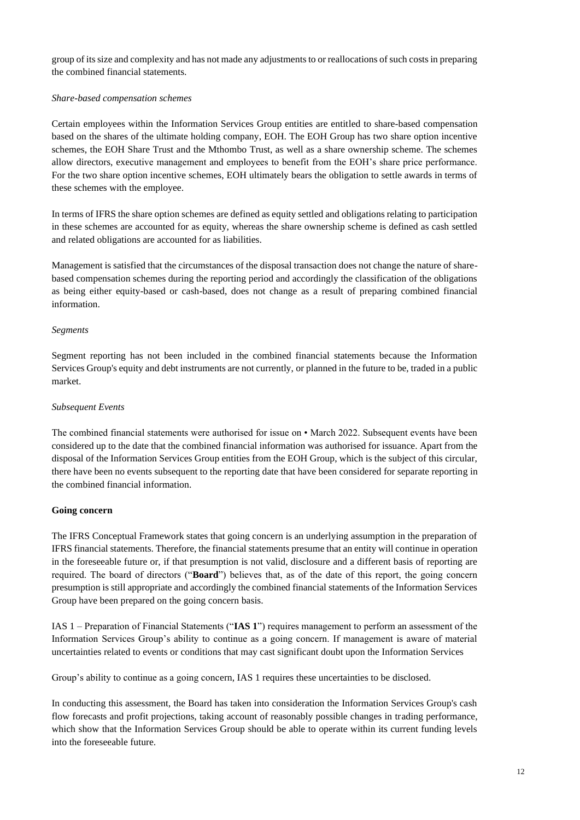group of its size and complexity and has not made any adjustments to or reallocations of such costs in preparing the combined financial statements.

### *Share-based compensation schemes*

Certain employees within the Information Services Group entities are entitled to share-based compensation based on the shares of the ultimate holding company, EOH. The EOH Group has two share option incentive schemes, the EOH Share Trust and the Mthombo Trust, as well as a share ownership scheme. The schemes allow directors, executive management and employees to benefit from the EOH's share price performance. For the two share option incentive schemes, EOH ultimately bears the obligation to settle awards in terms of these schemes with the employee.

In terms of IFRS the share option schemes are defined as equity settled and obligations relating to participation in these schemes are accounted for as equity, whereas the share ownership scheme is defined as cash settled and related obligations are accounted for as liabilities.

Management is satisfied that the circumstances of the disposal transaction does not change the nature of sharebased compensation schemes during the reporting period and accordingly the classification of the obligations as being either equity-based or cash-based, does not change as a result of preparing combined financial information.

### *Segments*

Segment reporting has not been included in the combined financial statements because the Information Services Group's equity and debt instruments are not currently, or planned in the future to be, traded in a public market.

### *Subsequent Events*

The combined financial statements were authorised for issue on • March 2022. Subsequent events have been considered up to the date that the combined financial information was authorised for issuance. Apart from the disposal of the Information Services Group entities from the EOH Group, which is the subject of this circular, there have been no events subsequent to the reporting date that have been considered for separate reporting in the combined financial information.

#### **Going concern**

The IFRS Conceptual Framework states that going concern is an underlying assumption in the preparation of IFRS financial statements. Therefore, the financial statements presume that an entity will continue in operation in the foreseeable future or, if that presumption is not valid, disclosure and a different basis of reporting are required. The board of directors ("**Board**") believes that, as of the date of this report, the going concern presumption is still appropriate and accordingly the combined financial statements of the Information Services Group have been prepared on the going concern basis.

IAS 1 – Preparation of Financial Statements ("**IAS 1**") requires management to perform an assessment of the Information Services Group's ability to continue as a going concern. If management is aware of material uncertainties related to events or conditions that may cast significant doubt upon the Information Services

Group's ability to continue as a going concern, IAS 1 requires these uncertainties to be disclosed.

In conducting this assessment, the Board has taken into consideration the Information Services Group's cash flow forecasts and profit projections, taking account of reasonably possible changes in trading performance, which show that the Information Services Group should be able to operate within its current funding levels into the foreseeable future.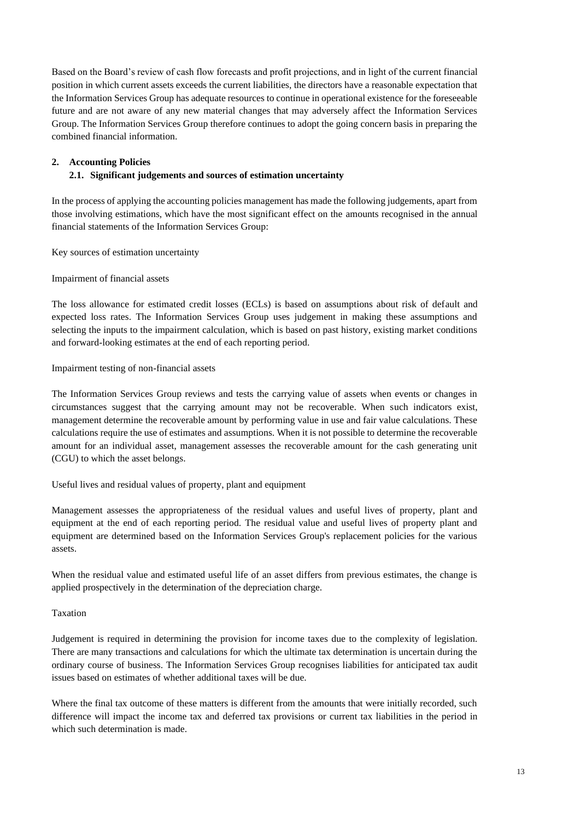Based on the Board's review of cash flow forecasts and profit projections, and in light of the current financial position in which current assets exceeds the current liabilities, the directors have a reasonable expectation that the Information Services Group has adequate resources to continue in operational existence for the foreseeable future and are not aware of any new material changes that may adversely affect the Information Services Group. The Information Services Group therefore continues to adopt the going concern basis in preparing the combined financial information.

### **2. Accounting Policies**

### **2.1. Significant judgements and sources of estimation uncertainty**

In the process of applying the accounting policies management has made the following judgements, apart from those involving estimations, which have the most significant effect on the amounts recognised in the annual financial statements of the Information Services Group:

Key sources of estimation uncertainty

#### Impairment of financial assets

The loss allowance for estimated credit losses (ECLs) is based on assumptions about risk of default and expected loss rates. The Information Services Group uses judgement in making these assumptions and selecting the inputs to the impairment calculation, which is based on past history, existing market conditions and forward-looking estimates at the end of each reporting period.

#### Impairment testing of non-financial assets

The Information Services Group reviews and tests the carrying value of assets when events or changes in circumstances suggest that the carrying amount may not be recoverable. When such indicators exist, management determine the recoverable amount by performing value in use and fair value calculations. These calculations require the use of estimates and assumptions. When it is not possible to determine the recoverable amount for an individual asset, management assesses the recoverable amount for the cash generating unit (CGU) to which the asset belongs.

Useful lives and residual values of property, plant and equipment

Management assesses the appropriateness of the residual values and useful lives of property, plant and equipment at the end of each reporting period. The residual value and useful lives of property plant and equipment are determined based on the Information Services Group's replacement policies for the various assets.

When the residual value and estimated useful life of an asset differs from previous estimates, the change is applied prospectively in the determination of the depreciation charge.

#### Taxation

Judgement is required in determining the provision for income taxes due to the complexity of legislation. There are many transactions and calculations for which the ultimate tax determination is uncertain during the ordinary course of business. The Information Services Group recognises liabilities for anticipated tax audit issues based on estimates of whether additional taxes will be due.

Where the final tax outcome of these matters is different from the amounts that were initially recorded, such difference will impact the income tax and deferred tax provisions or current tax liabilities in the period in which such determination is made.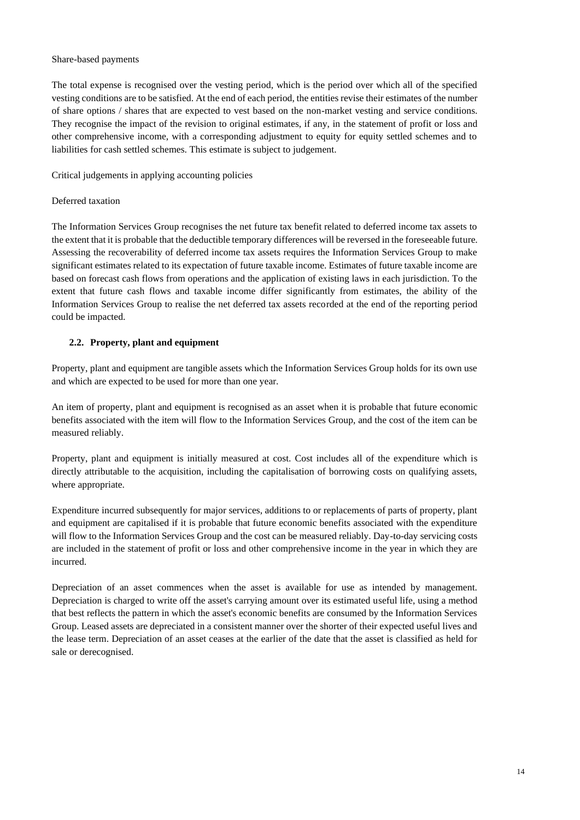#### Share-based payments

The total expense is recognised over the vesting period, which is the period over which all of the specified vesting conditions are to be satisfied. At the end of each period, the entities revise their estimates of the number of share options / shares that are expected to vest based on the non-market vesting and service conditions. They recognise the impact of the revision to original estimates, if any, in the statement of profit or loss and other comprehensive income, with a corresponding adjustment to equity for equity settled schemes and to liabilities for cash settled schemes. This estimate is subject to judgement.

Critical judgements in applying accounting policies

### Deferred taxation

The Information Services Group recognises the net future tax benefit related to deferred income tax assets to the extent that it is probable that the deductible temporary differences will be reversed in the foreseeable future. Assessing the recoverability of deferred income tax assets requires the Information Services Group to make significant estimates related to its expectation of future taxable income. Estimates of future taxable income are based on forecast cash flows from operations and the application of existing laws in each jurisdiction. To the extent that future cash flows and taxable income differ significantly from estimates, the ability of the Information Services Group to realise the net deferred tax assets recorded at the end of the reporting period could be impacted.

### **2.2. Property, plant and equipment**

Property, plant and equipment are tangible assets which the Information Services Group holds for its own use and which are expected to be used for more than one year.

An item of property, plant and equipment is recognised as an asset when it is probable that future economic benefits associated with the item will flow to the Information Services Group, and the cost of the item can be measured reliably.

Property, plant and equipment is initially measured at cost. Cost includes all of the expenditure which is directly attributable to the acquisition, including the capitalisation of borrowing costs on qualifying assets, where appropriate.

Expenditure incurred subsequently for major services, additions to or replacements of parts of property, plant and equipment are capitalised if it is probable that future economic benefits associated with the expenditure will flow to the Information Services Group and the cost can be measured reliably. Day-to-day servicing costs are included in the statement of profit or loss and other comprehensive income in the year in which they are incurred.

Depreciation of an asset commences when the asset is available for use as intended by management. Depreciation is charged to write off the asset's carrying amount over its estimated useful life, using a method that best reflects the pattern in which the asset's economic benefits are consumed by the Information Services Group. Leased assets are depreciated in a consistent manner over the shorter of their expected useful lives and the lease term. Depreciation of an asset ceases at the earlier of the date that the asset is classified as held for sale or derecognised.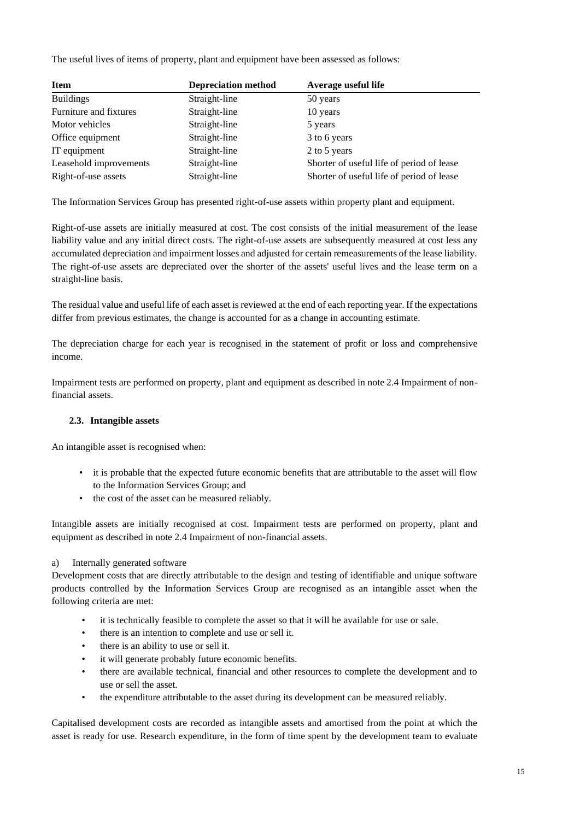The useful lives of items of property, plant and equipment have been assessed as follows:

| <b>Item</b>            | <b>Depreciation method</b> | Average useful life                       |
|------------------------|----------------------------|-------------------------------------------|
| <b>Buildings</b>       | Straight-line              | 50 years                                  |
| Furniture and fixtures | Straight-line              | 10 years                                  |
| Motor vehicles         | Straight-line              | 5 years                                   |
| Office equipment       | Straight-line              | 3 to 6 years                              |
| IT equipment           | Straight-line              | 2 to 5 years                              |
| Leasehold improvements | Straight-line              | Shorter of useful life of period of lease |
| Right-of-use assets    | Straight-line              | Shorter of useful life of period of lease |

The Information Services Group has presented right-of-use assets within property plant and equipment.

Right-of-use assets are initially measured at cost. The cost consists of the initial measurement of the lease liability value and any initial direct costs. The right-of-use assets are subsequently measured at cost less any accumulated depreciation and impairment losses and adjusted for certain remeasurements of the lease liability. The right-of-use assets are depreciated over the shorter of the assets' useful lives and the lease term on a straight-line basis.

The residual value and useful life of each asset is reviewed at the end of each reporting year. If the expectations differ from previous estimates, the change is accounted for as a change in accounting estimate.

The depreciation charge for each year is recognised in the statement of profit or loss and comprehensive income.

Impairment tests are performed on property, plant and equipment as described in note 2.4 Impairment of nonfinancial assets.

## **2.3. Intangible assets**

An intangible asset is recognised when:

- it is probable that the expected future economic benefits that are attributable to the asset will flow to the Information Services Group; and
- the cost of the asset can be measured reliably.

Intangible assets are initially recognised at cost. Impairment tests are performed on property, plant and equipment as described in note 2.4 Impairment of non-financial assets.

## a) Internally generated software

Development costs that are directly attributable to the design and testing of identifiable and unique software products controlled by the Information Services Group are recognised as an intangible asset when the following criteria are met:

- it is technically feasible to complete the asset so that it will be available for use or sale.
- there is an intention to complete and use or sell it.
- there is an ability to use or sell it.
- it will generate probably future economic benefits.
- there are available technical, financial and other resources to complete the development and to use or sell the asset.
- the expenditure attributable to the asset during its development can be measured reliably.

Capitalised development costs are recorded as intangible assets and amortised from the point at which the asset is ready for use. Research expenditure, in the form of time spent by the development team to evaluate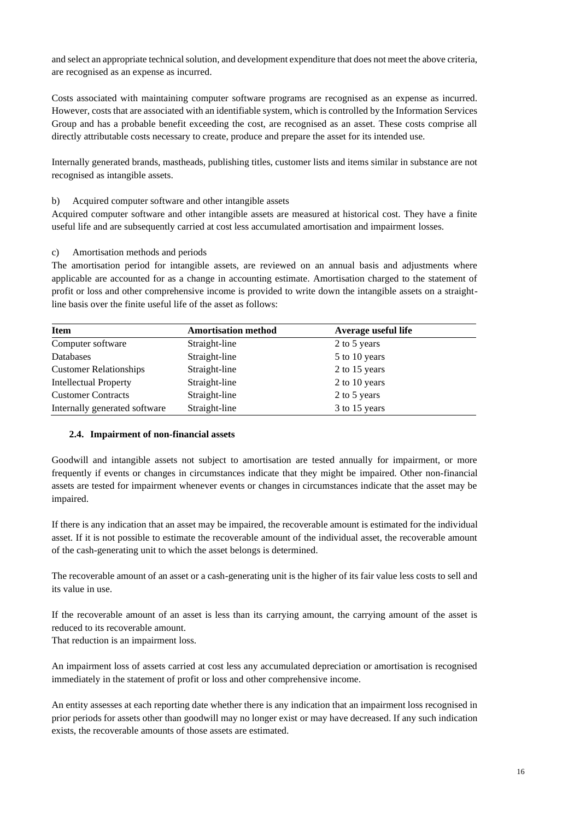and select an appropriate technical solution, and development expenditure that does not meet the above criteria, are recognised as an expense as incurred.

Costs associated with maintaining computer software programs are recognised as an expense as incurred. However, costs that are associated with an identifiable system, which is controlled by the Information Services Group and has a probable benefit exceeding the cost, are recognised as an asset. These costs comprise all directly attributable costs necessary to create, produce and prepare the asset for its intended use.

Internally generated brands, mastheads, publishing titles, customer lists and items similar in substance are not recognised as intangible assets.

#### b) Acquired computer software and other intangible assets

Acquired computer software and other intangible assets are measured at historical cost. They have a finite useful life and are subsequently carried at cost less accumulated amortisation and impairment losses.

#### c) Amortisation methods and periods

The amortisation period for intangible assets, are reviewed on an annual basis and adjustments where applicable are accounted for as a change in accounting estimate. Amortisation charged to the statement of profit or loss and other comprehensive income is provided to write down the intangible assets on a straightline basis over the finite useful life of the asset as follows:

| <b>Item</b>                   | <b>Amortisation method</b> | Average useful life |  |
|-------------------------------|----------------------------|---------------------|--|
| Computer software             | Straight-line              | 2 to 5 years        |  |
| <b>Databases</b>              | Straight-line              | 5 to 10 years       |  |
| <b>Customer Relationships</b> | Straight-line              | 2 to 15 years       |  |
| <b>Intellectual Property</b>  | Straight-line              | 2 to 10 years       |  |
| <b>Customer Contracts</b>     | Straight-line              | 2 to 5 years        |  |
| Internally generated software | Straight-line              | 3 to 15 years       |  |

#### **2.4. Impairment of non-financial assets**

Goodwill and intangible assets not subject to amortisation are tested annually for impairment, or more frequently if events or changes in circumstances indicate that they might be impaired. Other non-financial assets are tested for impairment whenever events or changes in circumstances indicate that the asset may be impaired.

If there is any indication that an asset may be impaired, the recoverable amount is estimated for the individual asset. If it is not possible to estimate the recoverable amount of the individual asset, the recoverable amount of the cash-generating unit to which the asset belongs is determined.

The recoverable amount of an asset or a cash-generating unit is the higher of its fair value less costs to sell and its value in use.

If the recoverable amount of an asset is less than its carrying amount, the carrying amount of the asset is reduced to its recoverable amount.

That reduction is an impairment loss.

An impairment loss of assets carried at cost less any accumulated depreciation or amortisation is recognised immediately in the statement of profit or loss and other comprehensive income.

An entity assesses at each reporting date whether there is any indication that an impairment loss recognised in prior periods for assets other than goodwill may no longer exist or may have decreased. If any such indication exists, the recoverable amounts of those assets are estimated.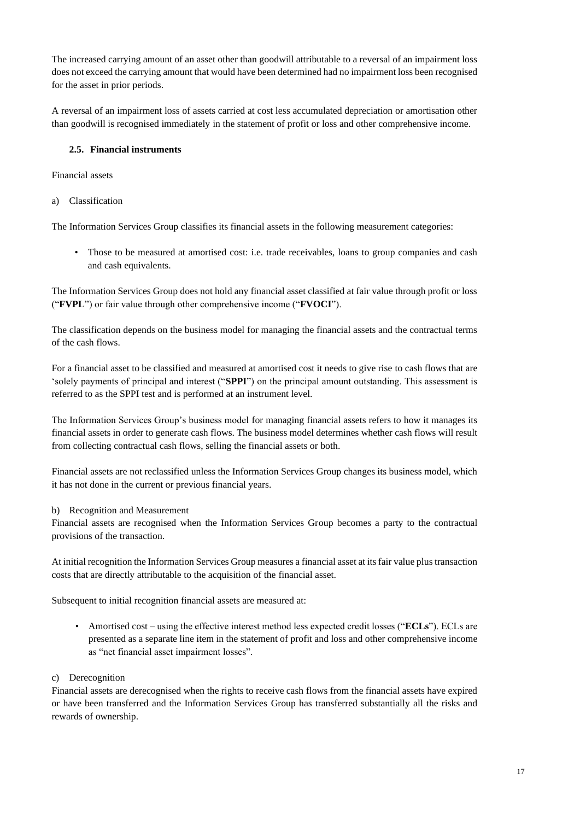The increased carrying amount of an asset other than goodwill attributable to a reversal of an impairment loss does not exceed the carrying amount that would have been determined had no impairment loss been recognised for the asset in prior periods.

A reversal of an impairment loss of assets carried at cost less accumulated depreciation or amortisation other than goodwill is recognised immediately in the statement of profit or loss and other comprehensive income.

### **2.5. Financial instruments**

Financial assets

a) Classification

The Information Services Group classifies its financial assets in the following measurement categories:

• Those to be measured at amortised cost: i.e. trade receivables, loans to group companies and cash and cash equivalents.

The Information Services Group does not hold any financial asset classified at fair value through profit or loss ("**FVPL**") or fair value through other comprehensive income ("**FVOCI**").

The classification depends on the business model for managing the financial assets and the contractual terms of the cash flows.

For a financial asset to be classified and measured at amortised cost it needs to give rise to cash flows that are 'solely payments of principal and interest ("**SPPI**") on the principal amount outstanding. This assessment is referred to as the SPPI test and is performed at an instrument level.

The Information Services Group's business model for managing financial assets refers to how it manages its financial assets in order to generate cash flows. The business model determines whether cash flows will result from collecting contractual cash flows, selling the financial assets or both.

Financial assets are not reclassified unless the Information Services Group changes its business model, which it has not done in the current or previous financial years.

b) Recognition and Measurement

Financial assets are recognised when the Information Services Group becomes a party to the contractual provisions of the transaction.

At initial recognition the Information Services Group measures a financial asset at its fair value plus transaction costs that are directly attributable to the acquisition of the financial asset.

Subsequent to initial recognition financial assets are measured at:

• Amortised cost – using the effective interest method less expected credit losses ("**ECLs**"). ECLs are presented as a separate line item in the statement of profit and loss and other comprehensive income as "net financial asset impairment losses".

c) Derecognition

Financial assets are derecognised when the rights to receive cash flows from the financial assets have expired or have been transferred and the Information Services Group has transferred substantially all the risks and rewards of ownership.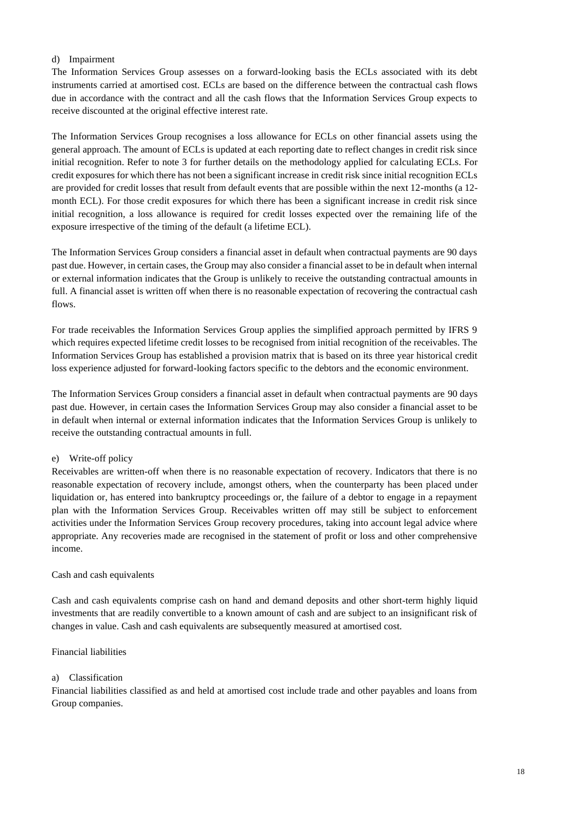### d) Impairment

The Information Services Group assesses on a forward-looking basis the ECLs associated with its debt instruments carried at amortised cost. ECLs are based on the difference between the contractual cash flows due in accordance with the contract and all the cash flows that the Information Services Group expects to receive discounted at the original effective interest rate.

The Information Services Group recognises a loss allowance for ECLs on other financial assets using the general approach. The amount of ECLs is updated at each reporting date to reflect changes in credit risk since initial recognition. Refer to note 3 for further details on the methodology applied for calculating ECLs. For credit exposures for which there has not been a significant increase in credit risk since initial recognition ECLs are provided for credit losses that result from default events that are possible within the next 12-months (a 12 month ECL). For those credit exposures for which there has been a significant increase in credit risk since initial recognition, a loss allowance is required for credit losses expected over the remaining life of the exposure irrespective of the timing of the default (a lifetime ECL).

The Information Services Group considers a financial asset in default when contractual payments are 90 days past due. However, in certain cases, the Group may also consider a financial asset to be in default when internal or external information indicates that the Group is unlikely to receive the outstanding contractual amounts in full. A financial asset is written off when there is no reasonable expectation of recovering the contractual cash flows.

For trade receivables the Information Services Group applies the simplified approach permitted by IFRS 9 which requires expected lifetime credit losses to be recognised from initial recognition of the receivables. The Information Services Group has established a provision matrix that is based on its three year historical credit loss experience adjusted for forward-looking factors specific to the debtors and the economic environment.

The Information Services Group considers a financial asset in default when contractual payments are 90 days past due. However, in certain cases the Information Services Group may also consider a financial asset to be in default when internal or external information indicates that the Information Services Group is unlikely to receive the outstanding contractual amounts in full.

#### e) Write-off policy

Receivables are written-off when there is no reasonable expectation of recovery. Indicators that there is no reasonable expectation of recovery include, amongst others, when the counterparty has been placed under liquidation or, has entered into bankruptcy proceedings or, the failure of a debtor to engage in a repayment plan with the Information Services Group. Receivables written off may still be subject to enforcement activities under the Information Services Group recovery procedures, taking into account legal advice where appropriate. Any recoveries made are recognised in the statement of profit or loss and other comprehensive income.

#### Cash and cash equivalents

Cash and cash equivalents comprise cash on hand and demand deposits and other short-term highly liquid investments that are readily convertible to a known amount of cash and are subject to an insignificant risk of changes in value. Cash and cash equivalents are subsequently measured at amortised cost.

#### Financial liabilities

### a) Classification

Financial liabilities classified as and held at amortised cost include trade and other payables and loans from Group companies.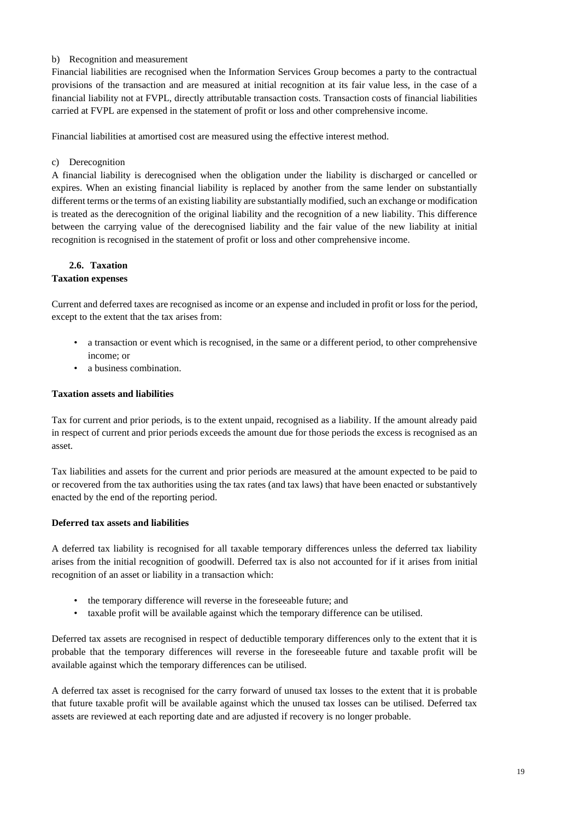### b) Recognition and measurement

Financial liabilities are recognised when the Information Services Group becomes a party to the contractual provisions of the transaction and are measured at initial recognition at its fair value less, in the case of a financial liability not at FVPL, directly attributable transaction costs. Transaction costs of financial liabilities carried at FVPL are expensed in the statement of profit or loss and other comprehensive income.

Financial liabilities at amortised cost are measured using the effective interest method.

### c) Derecognition

A financial liability is derecognised when the obligation under the liability is discharged or cancelled or expires. When an existing financial liability is replaced by another from the same lender on substantially different terms or the terms of an existing liability are substantially modified, such an exchange or modification is treated as the derecognition of the original liability and the recognition of a new liability. This difference between the carrying value of the derecognised liability and the fair value of the new liability at initial recognition is recognised in the statement of profit or loss and other comprehensive income.

# **2.6. Taxation**

## **Taxation expenses**

Current and deferred taxes are recognised as income or an expense and included in profit or loss for the period, except to the extent that the tax arises from:

- a transaction or event which is recognised, in the same or a different period, to other comprehensive income; or
- a business combination.

#### **Taxation assets and liabilities**

Tax for current and prior periods, is to the extent unpaid, recognised as a liability. If the amount already paid in respect of current and prior periods exceeds the amount due for those periods the excess is recognised as an asset.

Tax liabilities and assets for the current and prior periods are measured at the amount expected to be paid to or recovered from the tax authorities using the tax rates (and tax laws) that have been enacted or substantively enacted by the end of the reporting period.

#### **Deferred tax assets and liabilities**

A deferred tax liability is recognised for all taxable temporary differences unless the deferred tax liability arises from the initial recognition of goodwill. Deferred tax is also not accounted for if it arises from initial recognition of an asset or liability in a transaction which:

- the temporary difference will reverse in the foreseeable future; and
- taxable profit will be available against which the temporary difference can be utilised.

Deferred tax assets are recognised in respect of deductible temporary differences only to the extent that it is probable that the temporary differences will reverse in the foreseeable future and taxable profit will be available against which the temporary differences can be utilised.

A deferred tax asset is recognised for the carry forward of unused tax losses to the extent that it is probable that future taxable profit will be available against which the unused tax losses can be utilised. Deferred tax assets are reviewed at each reporting date and are adjusted if recovery is no longer probable.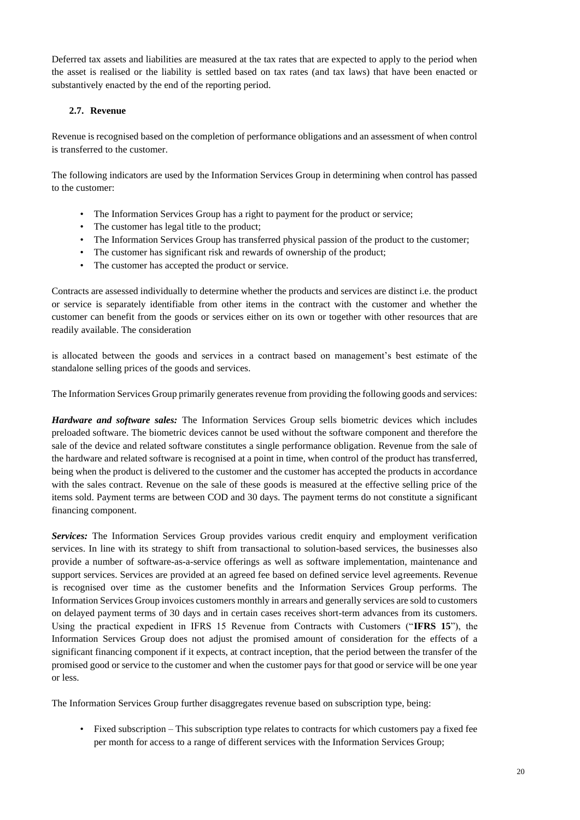Deferred tax assets and liabilities are measured at the tax rates that are expected to apply to the period when the asset is realised or the liability is settled based on tax rates (and tax laws) that have been enacted or substantively enacted by the end of the reporting period.

## **2.7. Revenue**

Revenue is recognised based on the completion of performance obligations and an assessment of when control is transferred to the customer.

The following indicators are used by the Information Services Group in determining when control has passed to the customer:

- The Information Services Group has a right to payment for the product or service;
- The customer has legal title to the product;
- The Information Services Group has transferred physical passion of the product to the customer;
- The customer has significant risk and rewards of ownership of the product;
- The customer has accepted the product or service.

Contracts are assessed individually to determine whether the products and services are distinct i.e. the product or service is separately identifiable from other items in the contract with the customer and whether the customer can benefit from the goods or services either on its own or together with other resources that are readily available. The consideration

is allocated between the goods and services in a contract based on management's best estimate of the standalone selling prices of the goods and services.

The Information Services Group primarily generates revenue from providing the following goods and services:

*Hardware and software sales:* The Information Services Group sells biometric devices which includes preloaded software. The biometric devices cannot be used without the software component and therefore the sale of the device and related software constitutes a single performance obligation. Revenue from the sale of the hardware and related software is recognised at a point in time, when control of the product has transferred, being when the product is delivered to the customer and the customer has accepted the products in accordance with the sales contract. Revenue on the sale of these goods is measured at the effective selling price of the items sold. Payment terms are between COD and 30 days. The payment terms do not constitute a significant financing component.

*Services:* The Information Services Group provides various credit enquiry and employment verification services. In line with its strategy to shift from transactional to solution-based services, the businesses also provide a number of software-as-a-service offerings as well as software implementation, maintenance and support services. Services are provided at an agreed fee based on defined service level agreements. Revenue is recognised over time as the customer benefits and the Information Services Group performs. The Information Services Group invoices customers monthly in arrears and generally services are sold to customers on delayed payment terms of 30 days and in certain cases receives short-term advances from its customers. Using the practical expedient in IFRS 15 Revenue from Contracts with Customers ("**IFRS 15**"), the Information Services Group does not adjust the promised amount of consideration for the effects of a significant financing component if it expects, at contract inception, that the period between the transfer of the promised good or service to the customer and when the customer pays for that good or service will be one year or less.

The Information Services Group further disaggregates revenue based on subscription type, being:

• Fixed subscription – This subscription type relates to contracts for which customers pay a fixed fee per month for access to a range of different services with the Information Services Group;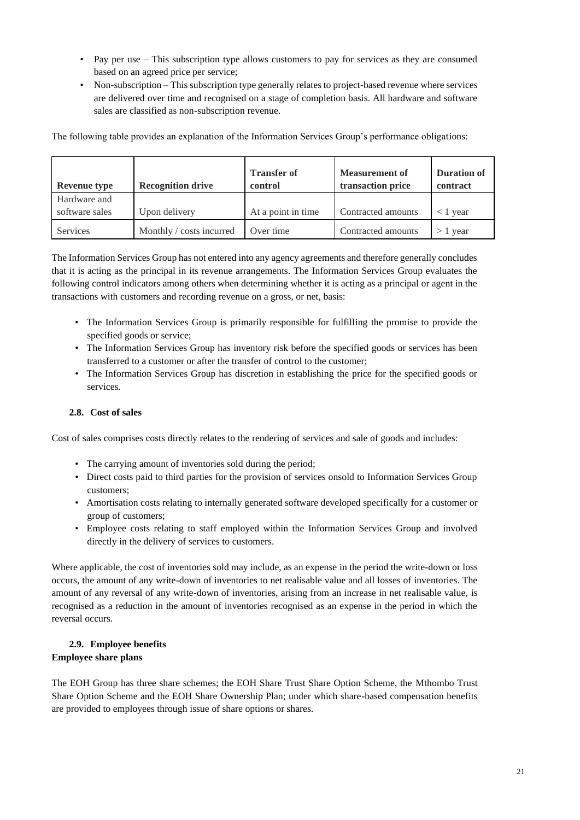- Pay per use This subscription type allows customers to pay for services as they are consumed based on an agreed price per service;
- Non-subscription This subscription type generally relates to project-based revenue where services are delivered over time and recognised on a stage of completion basis. All hardware and software sales are classified as non-subscription revenue.

The following table provides an explanation of the Information Services Group's performance obligations:

| <b>Revenue type</b>            | <b>Recognition drive</b> | <b>Transfer of</b><br>control | Measurement of<br>transaction price | <b>Duration of</b><br>contract |
|--------------------------------|--------------------------|-------------------------------|-------------------------------------|--------------------------------|
| Hardware and<br>software sales | Upon delivery            | At a point in time            | Contracted amounts                  | $<$ 1 vear                     |
| <b>Services</b>                | Monthly / costs incurred | Over time                     | Contracted amounts                  | $>1$ year                      |

The Information Services Group has not entered into any agency agreements and therefore generally concludes that it is acting as the principal in its revenue arrangements. The Information Services Group evaluates the following control indicators among others when determining whether it is acting as a principal or agent in the transactions with customers and recording revenue on a gross, or net, basis:

- The Information Services Group is primarily responsible for fulfilling the promise to provide the specified goods or service;
- The Information Services Group has inventory risk before the specified goods or services has been transferred to a customer or after the transfer of control to the customer;
- The Information Services Group has discretion in establishing the price for the specified goods or services.

## **2.8. Cost of sales**

Cost of sales comprises costs directly relates to the rendering of services and sale of goods and includes:

- The carrying amount of inventories sold during the period;
- Direct costs paid to third parties for the provision of services onsold to Information Services Group customers;
- Amortisation costs relating to internally generated software developed specifically for a customer or group of customers;
- Employee costs relating to staff employed within the Information Services Group and involved directly in the delivery of services to customers.

Where applicable, the cost of inventories sold may include, as an expense in the period the write-down or loss occurs, the amount of any write-down of inventories to net realisable value and all losses of inventories. The amount of any reversal of any write-down of inventories, arising from an increase in net realisable value, is recognised as a reduction in the amount of inventories recognised as an expense in the period in which the reversal occurs.

### **2.9. Employee benefits Employee share plans**

The EOH Group has three share schemes; the EOH Share Trust Share Option Scheme, the Mthombo Trust Share Option Scheme and the EOH Share Ownership Plan; under which share-based compensation benefits are provided to employees through issue of share options or shares.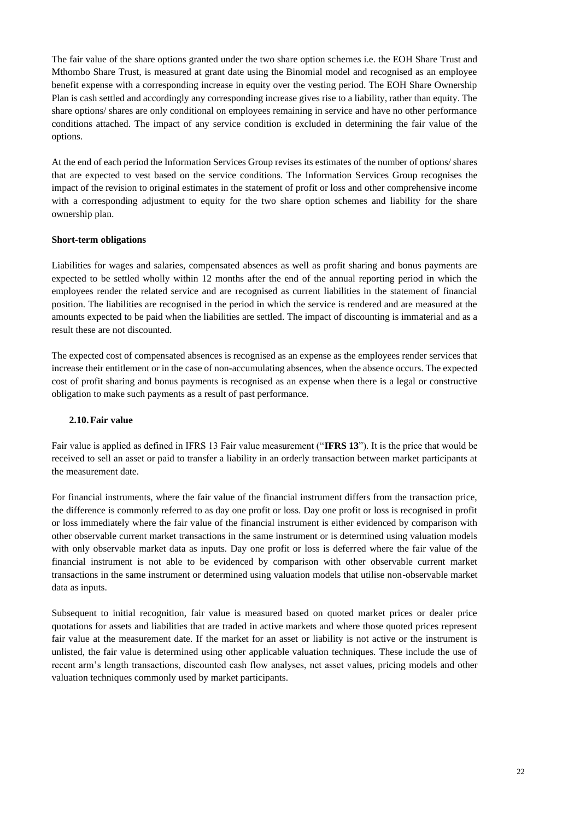The fair value of the share options granted under the two share option schemes i.e. the EOH Share Trust and Mthombo Share Trust, is measured at grant date using the Binomial model and recognised as an employee benefit expense with a corresponding increase in equity over the vesting period. The EOH Share Ownership Plan is cash settled and accordingly any corresponding increase gives rise to a liability, rather than equity. The share options/ shares are only conditional on employees remaining in service and have no other performance conditions attached. The impact of any service condition is excluded in determining the fair value of the options.

At the end of each period the Information Services Group revises its estimates of the number of options/ shares that are expected to vest based on the service conditions. The Information Services Group recognises the impact of the revision to original estimates in the statement of profit or loss and other comprehensive income with a corresponding adjustment to equity for the two share option schemes and liability for the share ownership plan.

#### **Short-term obligations**

Liabilities for wages and salaries, compensated absences as well as profit sharing and bonus payments are expected to be settled wholly within 12 months after the end of the annual reporting period in which the employees render the related service and are recognised as current liabilities in the statement of financial position. The liabilities are recognised in the period in which the service is rendered and are measured at the amounts expected to be paid when the liabilities are settled. The impact of discounting is immaterial and as a result these are not discounted.

The expected cost of compensated absences is recognised as an expense as the employees render services that increase their entitlement or in the case of non-accumulating absences, when the absence occurs. The expected cost of profit sharing and bonus payments is recognised as an expense when there is a legal or constructive obligation to make such payments as a result of past performance.

#### **2.10.Fair value**

Fair value is applied as defined in IFRS 13 Fair value measurement ("**IFRS 13**"). It is the price that would be received to sell an asset or paid to transfer a liability in an orderly transaction between market participants at the measurement date.

For financial instruments, where the fair value of the financial instrument differs from the transaction price, the difference is commonly referred to as day one profit or loss. Day one profit or loss is recognised in profit or loss immediately where the fair value of the financial instrument is either evidenced by comparison with other observable current market transactions in the same instrument or is determined using valuation models with only observable market data as inputs. Day one profit or loss is deferred where the fair value of the financial instrument is not able to be evidenced by comparison with other observable current market transactions in the same instrument or determined using valuation models that utilise non-observable market data as inputs.

Subsequent to initial recognition, fair value is measured based on quoted market prices or dealer price quotations for assets and liabilities that are traded in active markets and where those quoted prices represent fair value at the measurement date. If the market for an asset or liability is not active or the instrument is unlisted, the fair value is determined using other applicable valuation techniques. These include the use of recent arm's length transactions, discounted cash flow analyses, net asset values, pricing models and other valuation techniques commonly used by market participants.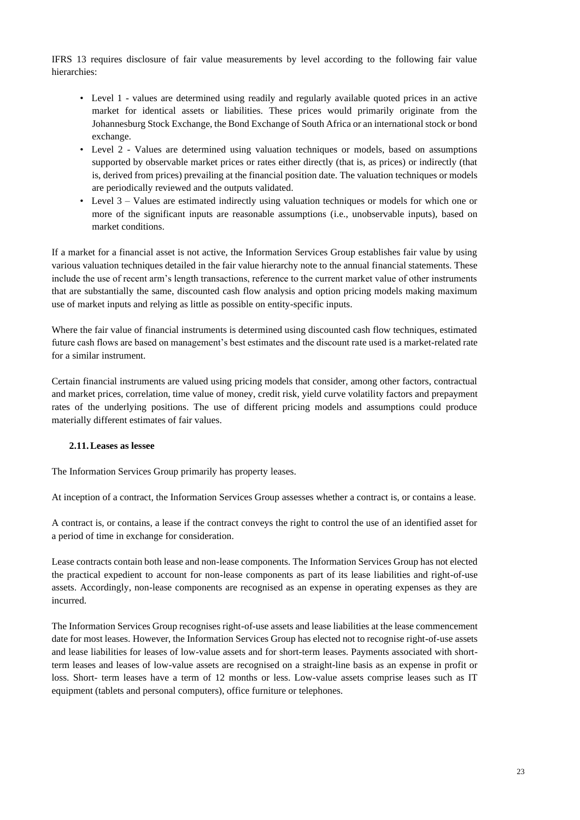IFRS 13 requires disclosure of fair value measurements by level according to the following fair value hierarchies:

- Level 1 values are determined using readily and regularly available quoted prices in an active market for identical assets or liabilities. These prices would primarily originate from the Johannesburg Stock Exchange, the Bond Exchange of South Africa or an international stock or bond exchange.
- Level 2 Values are determined using valuation techniques or models, based on assumptions supported by observable market prices or rates either directly (that is, as prices) or indirectly (that is, derived from prices) prevailing at the financial position date. The valuation techniques or models are periodically reviewed and the outputs validated.
- Level 3 Values are estimated indirectly using valuation techniques or models for which one or more of the significant inputs are reasonable assumptions (i.e., unobservable inputs), based on market conditions.

If a market for a financial asset is not active, the Information Services Group establishes fair value by using various valuation techniques detailed in the fair value hierarchy note to the annual financial statements. These include the use of recent arm's length transactions, reference to the current market value of other instruments that are substantially the same, discounted cash flow analysis and option pricing models making maximum use of market inputs and relying as little as possible on entity-specific inputs.

Where the fair value of financial instruments is determined using discounted cash flow techniques, estimated future cash flows are based on management's best estimates and the discount rate used is a market-related rate for a similar instrument.

Certain financial instruments are valued using pricing models that consider, among other factors, contractual and market prices, correlation, time value of money, credit risk, yield curve volatility factors and prepayment rates of the underlying positions. The use of different pricing models and assumptions could produce materially different estimates of fair values.

## **2.11.Leases as lessee**

The Information Services Group primarily has property leases.

At inception of a contract, the Information Services Group assesses whether a contract is, or contains a lease.

A contract is, or contains, a lease if the contract conveys the right to control the use of an identified asset for a period of time in exchange for consideration.

Lease contracts contain both lease and non-lease components. The Information Services Group has not elected the practical expedient to account for non-lease components as part of its lease liabilities and right-of-use assets. Accordingly, non-lease components are recognised as an expense in operating expenses as they are incurred.

The Information Services Group recognises right-of-use assets and lease liabilities at the lease commencement date for most leases. However, the Information Services Group has elected not to recognise right-of-use assets and lease liabilities for leases of low-value assets and for short-term leases. Payments associated with shortterm leases and leases of low-value assets are recognised on a straight-line basis as an expense in profit or loss. Short- term leases have a term of 12 months or less. Low-value assets comprise leases such as IT equipment (tablets and personal computers), office furniture or telephones.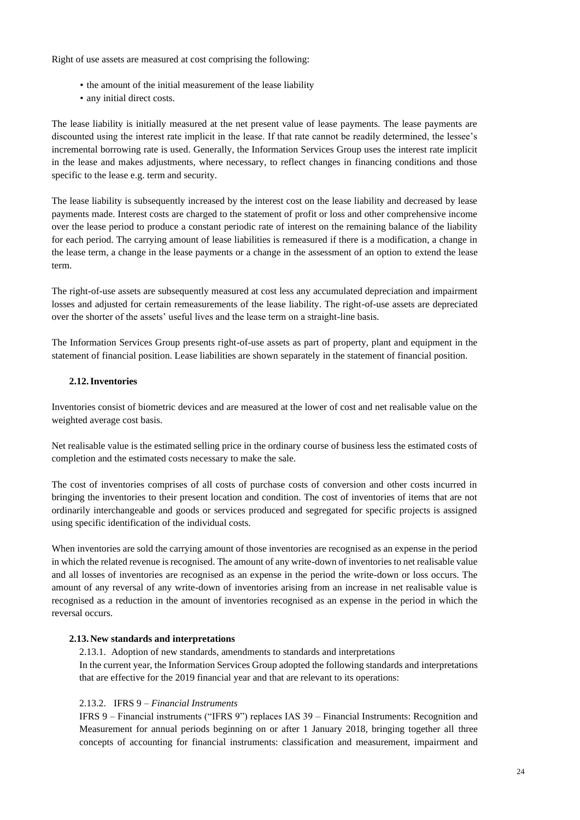Right of use assets are measured at cost comprising the following:

- the amount of the initial measurement of the lease liability
- any initial direct costs.

The lease liability is initially measured at the net present value of lease payments. The lease payments are discounted using the interest rate implicit in the lease. If that rate cannot be readily determined, the lessee's incremental borrowing rate is used. Generally, the Information Services Group uses the interest rate implicit in the lease and makes adjustments, where necessary, to reflect changes in financing conditions and those specific to the lease e.g. term and security.

The lease liability is subsequently increased by the interest cost on the lease liability and decreased by lease payments made. Interest costs are charged to the statement of profit or loss and other comprehensive income over the lease period to produce a constant periodic rate of interest on the remaining balance of the liability for each period. The carrying amount of lease liabilities is remeasured if there is a modification, a change in the lease term, a change in the lease payments or a change in the assessment of an option to extend the lease term.

The right-of-use assets are subsequently measured at cost less any accumulated depreciation and impairment losses and adjusted for certain remeasurements of the lease liability. The right-of-use assets are depreciated over the shorter of the assets' useful lives and the lease term on a straight-line basis.

The Information Services Group presents right-of-use assets as part of property, plant and equipment in the statement of financial position. Lease liabilities are shown separately in the statement of financial position.

### **2.12.Inventories**

Inventories consist of biometric devices and are measured at the lower of cost and net realisable value on the weighted average cost basis.

Net realisable value is the estimated selling price in the ordinary course of business less the estimated costs of completion and the estimated costs necessary to make the sale.

The cost of inventories comprises of all costs of purchase costs of conversion and other costs incurred in bringing the inventories to their present location and condition. The cost of inventories of items that are not ordinarily interchangeable and goods or services produced and segregated for specific projects is assigned using specific identification of the individual costs.

When inventories are sold the carrying amount of those inventories are recognised as an expense in the period in which the related revenue is recognised. The amount of any write-down of inventories to net realisable value and all losses of inventories are recognised as an expense in the period the write-down or loss occurs. The amount of any reversal of any write-down of inventories arising from an increase in net realisable value is recognised as a reduction in the amount of inventories recognised as an expense in the period in which the reversal occurs.

#### **2.13. New standards and interpretations**

2.13.1. Adoption of new standards, amendments to standards and interpretations In the current year, the Information Services Group adopted the following standards and interpretations that are effective for the 2019 financial year and that are relevant to its operations:

#### 2.13.2. IFRS 9 *– Financial Instruments*

IFRS 9 – Financial instruments ("IFRS 9") replaces IAS 39 – Financial Instruments: Recognition and Measurement for annual periods beginning on or after 1 January 2018, bringing together all three concepts of accounting for financial instruments: classification and measurement, impairment and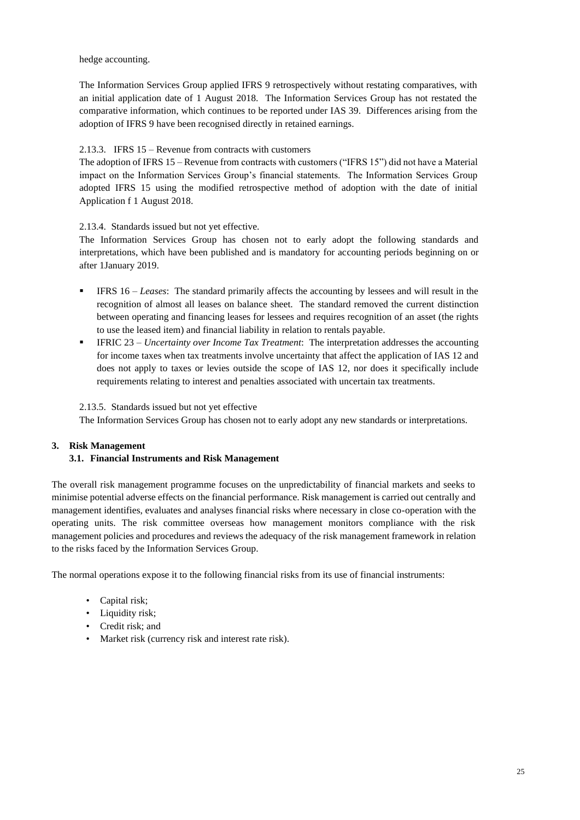hedge accounting.

The Information Services Group applied IFRS 9 retrospectively without restating comparatives, with an initial application date of 1 August 2018. The Information Services Group has not restated the comparative information, which continues to be reported under IAS 39. Differences arising from the adoption of IFRS 9 have been recognised directly in retained earnings.

## 2.13.3. IFRS 15 – Revenue from contracts with customers

The adoption of IFRS 15 – Revenue from contracts with customers ("IFRS 15") did not have a Material impact on the Information Services Group's financial statements. The Information Services Group adopted IFRS 15 using the modified retrospective method of adoption with the date of initial Application f 1 August 2018.

## 2.13.4. Standards issued but not yet effective.

The Information Services Group has chosen not to early adopt the following standards and interpretations, which have been published and is mandatory for accounting periods beginning on or after 1January 2019.

- IFRS 16 *Leases*: The standard primarily affects the accounting by lessees and will result in the recognition of almost all leases on balance sheet. The standard removed the current distinction between operating and financing leases for lessees and requires recognition of an asset (the rights to use the leased item) and financial liability in relation to rentals payable.
- IFRIC 23 *Uncertainty over Income Tax Treatment*: The interpretation addresses the accounting for income taxes when tax treatments involve uncertainty that affect the application of IAS 12 and does not apply to taxes or levies outside the scope of IAS 12, nor does it specifically include requirements relating to interest and penalties associated with uncertain tax treatments.

## 2.13.5. Standards issued but not yet effective

The Information Services Group has chosen not to early adopt any new standards or interpretations.

## **3. Risk Management**

## **3.1. Financial Instruments and Risk Management**

The overall risk management programme focuses on the unpredictability of financial markets and seeks to minimise potential adverse effects on the financial performance. Risk management is carried out centrally and management identifies, evaluates and analyses financial risks where necessary in close co-operation with the operating units. The risk committee overseas how management monitors compliance with the risk management policies and procedures and reviews the adequacy of the risk management framework in relation to the risks faced by the Information Services Group.

The normal operations expose it to the following financial risks from its use of financial instruments:

- Capital risk;
- Liquidity risk;
- Credit risk; and
- Market risk (currency risk and interest rate risk).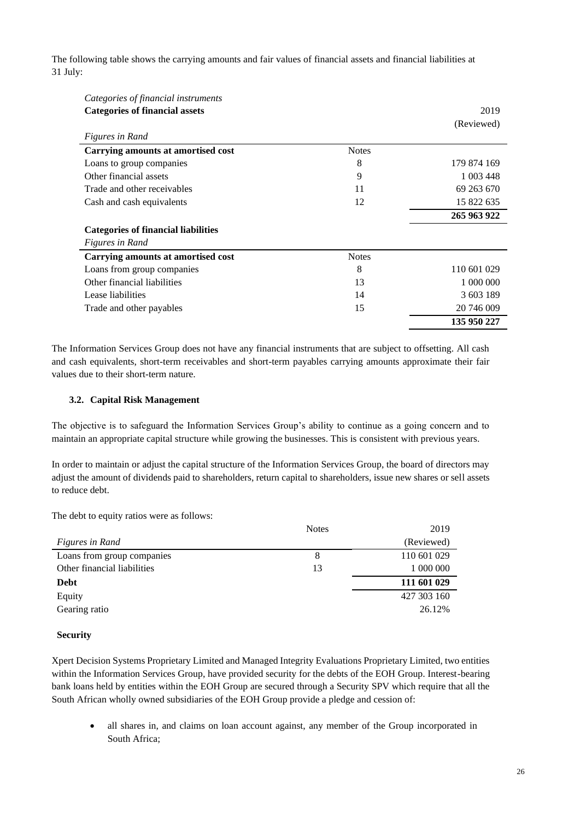The following table shows the carrying amounts and fair values of financial assets and financial liabilities at 31 July:

| Categories of financial instruments        |              |             |
|--------------------------------------------|--------------|-------------|
| <b>Categories of financial assets</b>      |              | 2019        |
|                                            |              | (Reviewed)  |
| Figures in Rand                            |              |             |
| Carrying amounts at amortised cost         | <b>Notes</b> |             |
| Loans to group companies                   | 8            | 179 874 169 |
| Other financial assets                     | 9            | 1 003 448   |
| Trade and other receivables                | 11           | 69 263 670  |
| Cash and cash equivalents                  | 12           | 15 822 635  |
|                                            |              | 265 963 922 |
| <b>Categories of financial liabilities</b> |              |             |
| <i>Figures in Rand</i>                     |              |             |
| Carrying amounts at amortised cost         | <b>Notes</b> |             |
| Loans from group companies                 | 8            | 110 601 029 |
| Other financial liabilities                | 13           | 1 000 000   |
| Lease liabilities                          | 14           | 3 603 189   |
| Trade and other payables                   | 15           | 20 746 009  |
|                                            |              | 135 950 227 |

The Information Services Group does not have any financial instruments that are subject to offsetting. All cash and cash equivalents, short-term receivables and short-term payables carrying amounts approximate their fair values due to their short-term nature.

### **3.2. Capital Risk Management**

The objective is to safeguard the Information Services Group's ability to continue as a going concern and to maintain an appropriate capital structure while growing the businesses. This is consistent with previous years.

In order to maintain or adjust the capital structure of the Information Services Group, the board of directors may adjust the amount of dividends paid to shareholders, return capital to shareholders, issue new shares or sell assets to reduce debt.

The debt to equity ratios were as follows:

|                             | <b>Notes</b> | 2019        |
|-----------------------------|--------------|-------------|
| Figures in Rand             |              | (Reviewed)  |
| Loans from group companies  | 8            | 110 601 029 |
| Other financial liabilities | 13           | 1 000 000   |
| <b>Debt</b>                 |              | 111 601 029 |
| Equity                      |              | 427 303 160 |
| Gearing ratio               |              | 26.12%      |

#### **Security**

Xpert Decision Systems Proprietary Limited and Managed Integrity Evaluations Proprietary Limited, two entities within the Information Services Group, have provided security for the debts of the EOH Group. Interest-bearing bank loans held by entities within the EOH Group are secured through a Security SPV which require that all the South African wholly owned subsidiaries of the EOH Group provide a pledge and cession of:

• all shares in, and claims on loan account against, any member of the Group incorporated in South Africa;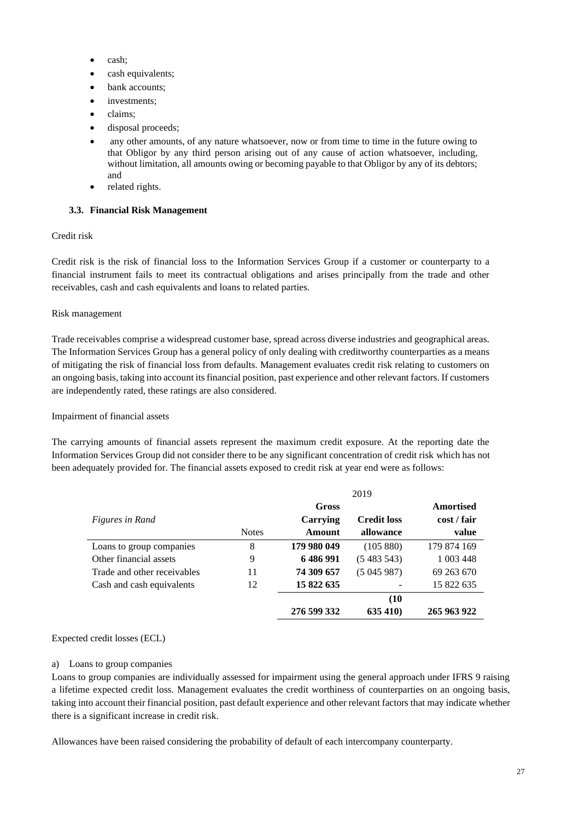- cash;
- cash equivalents;
- bank accounts;
- investments:
- claims;
- disposal proceeds;
- any other amounts, of any nature whatsoever, now or from time to time in the future owing to that Obligor by any third person arising out of any cause of action whatsoever, including, without limitation, all amounts owing or becoming payable to that Obligor by any of its debtors; and
- related rights.

### **3.3. Financial Risk Management**

### Credit risk

Credit risk is the risk of financial loss to the Information Services Group if a customer or counterparty to a financial instrument fails to meet its contractual obligations and arises principally from the trade and other receivables, cash and cash equivalents and loans to related parties.

#### Risk management

Trade receivables comprise a widespread customer base, spread across diverse industries and geographical areas. The Information Services Group has a general policy of only dealing with creditworthy counterparties as a means of mitigating the risk of financial loss from defaults. Management evaluates credit risk relating to customers on an ongoing basis, taking into account its financial position, past experience and other relevant factors. If customers are independently rated, these ratings are also considered.

#### Impairment of financial assets

The carrying amounts of financial assets represent the maximum credit exposure. At the reporting date the Information Services Group did not consider there to be any significant concentration of credit risk which has not been adequately provided for. The financial assets exposed to credit risk at year end were as follows:

|                             |              |              | 2019               |             |
|-----------------------------|--------------|--------------|--------------------|-------------|
|                             |              | <b>Gross</b> |                    | Amortised   |
| <i>Figures in Rand</i>      |              | Carrying     | <b>Credit loss</b> | cost / fair |
|                             | <b>Notes</b> | Amount       | allowance          | value       |
| Loans to group companies    | 8            | 179 980 049  | (105 880)          | 179 874 169 |
| Other financial assets      | 9            | 6486991      | (5483543)          | 1 003 448   |
| Trade and other receivables | 11           | 74 309 657   | (5045987)          | 69 263 670  |
| Cash and cash equivalents   | 12           | 15 822 635   |                    | 15 822 635  |
|                             |              |              | (10)               |             |
|                             |              | 276 599 332  | 635 410)           | 265 963 922 |

Expected credit losses (ECL)

#### a) Loans to group companies

Loans to group companies are individually assessed for impairment using the general approach under IFRS 9 raising a lifetime expected credit loss. Management evaluates the credit worthiness of counterparties on an ongoing basis, taking into account their financial position, past default experience and other relevant factors that may indicate whether there is a significant increase in credit risk.

Allowances have been raised considering the probability of default of each intercompany counterparty.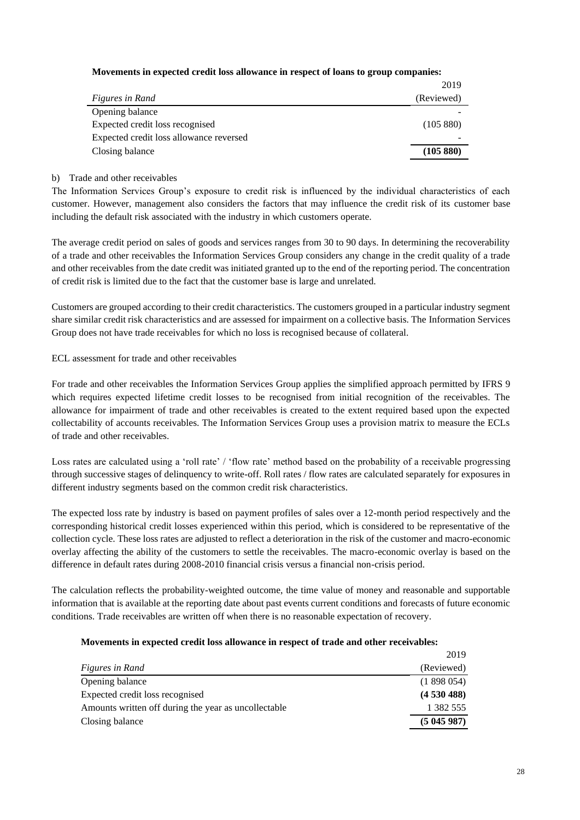## **Movements in expected credit loss allowance in respect of loans to group companies:**

|                                         | 2019       |
|-----------------------------------------|------------|
| Figures in Rand                         | (Reviewed) |
| Opening balance                         |            |
| Expected credit loss recognised         | (105 880)  |
| Expected credit loss allowance reversed |            |
| Closing balance                         | (105 880)  |

### b) Trade and other receivables

The Information Services Group's exposure to credit risk is influenced by the individual characteristics of each customer. However, management also considers the factors that may influence the credit risk of its customer base including the default risk associated with the industry in which customers operate.

The average credit period on sales of goods and services ranges from 30 to 90 days. In determining the recoverability of a trade and other receivables the Information Services Group considers any change in the credit quality of a trade and other receivables from the date credit was initiated granted up to the end of the reporting period. The concentration of credit risk is limited due to the fact that the customer base is large and unrelated.

Customers are grouped according to their credit characteristics. The customers grouped in a particular industry segment share similar credit risk characteristics and are assessed for impairment on a collective basis. The Information Services Group does not have trade receivables for which no loss is recognised because of collateral.

## ECL assessment for trade and other receivables

For trade and other receivables the Information Services Group applies the simplified approach permitted by IFRS 9 which requires expected lifetime credit losses to be recognised from initial recognition of the receivables. The allowance for impairment of trade and other receivables is created to the extent required based upon the expected collectability of accounts receivables. The Information Services Group uses a provision matrix to measure the ECLs of trade and other receivables.

Loss rates are calculated using a 'roll rate' / 'flow rate' method based on the probability of a receivable progressing through successive stages of delinquency to write-off. Roll rates / flow rates are calculated separately for exposures in different industry segments based on the common credit risk characteristics.

The expected loss rate by industry is based on payment profiles of sales over a 12-month period respectively and the corresponding historical credit losses experienced within this period, which is considered to be representative of the collection cycle. These loss rates are adjusted to reflect a deterioration in the risk of the customer and macro-economic overlay affecting the ability of the customers to settle the receivables. The macro-economic overlay is based on the difference in default rates during 2008-2010 financial crisis versus a financial non-crisis period.

The calculation reflects the probability-weighted outcome, the time value of money and reasonable and supportable information that is available at the reporting date about past events current conditions and forecasts of future economic conditions. Trade receivables are written off when there is no reasonable expectation of recovery.

#### **Movements in expected credit loss allowance in respect of trade and other receivables:**

|                                                      | 2019       |
|------------------------------------------------------|------------|
| Figures in Rand                                      | (Reviewed) |
| Opening balance                                      | (1898054)  |
| Expected credit loss recognised                      | (4530488)  |
| Amounts written off during the year as uncollectable | 1 382 555  |
| Closing balance                                      | (5045987)  |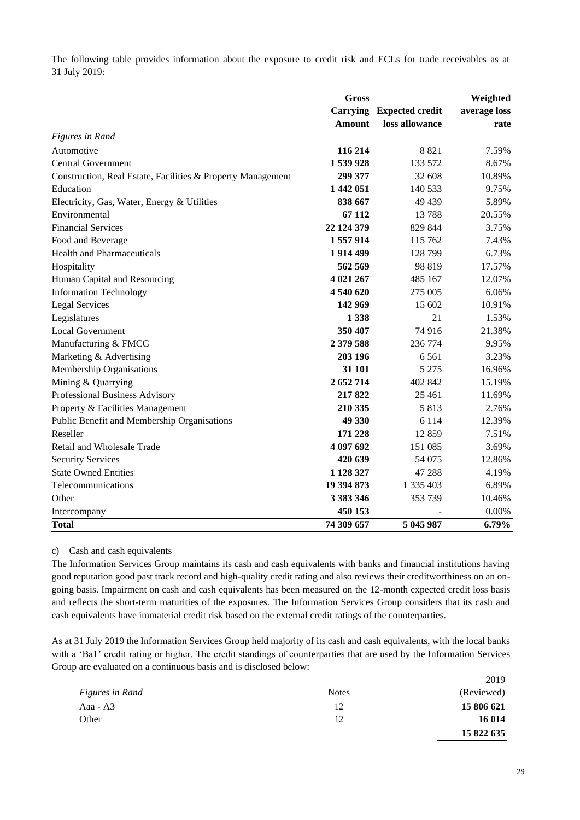The following table provides information about the exposure to credit risk and ECLs for trade receivables as at 31 July 2019:

|                                                             | <b>Gross</b>    | Weighted               |              |  |
|-------------------------------------------------------------|-----------------|------------------------|--------------|--|
|                                                             | <b>Carrying</b> | <b>Expected credit</b> | average loss |  |
|                                                             | Amount          | loss allowance         | rate         |  |
| <b>Figures in Rand</b>                                      |                 |                        |              |  |
| Automotive                                                  | 116 214         | 8 8 2 1                | 7.59%        |  |
| <b>Central Government</b>                                   | 1539928         | 133 572                | 8.67%        |  |
| Construction, Real Estate, Facilities & Property Management | 299 377         | 32 608                 | 10.89%       |  |
| Education                                                   | 1 442 051       | 140 533                | 9.75%        |  |
| Electricity, Gas, Water, Energy & Utilities                 | 838 667         | 49 439                 | 5.89%        |  |
| Environmental                                               | 67 112          | 13788                  | 20.55%       |  |
| <b>Financial Services</b>                                   | 22 124 379      | 829 844                | 3.75%        |  |
| Food and Beverage                                           | 1 557 914       | 115 762                | 7.43%        |  |
| <b>Health and Pharmaceuticals</b>                           | 1914499         | 128 799                | 6.73%        |  |
| Hospitality                                                 | 562 569         | 98 819                 | 17.57%       |  |
| Human Capital and Resourcing                                | 4 021 267       | 485 167                | 12.07%       |  |
| <b>Information Technology</b>                               | 4 540 620       | 275 005                | 6.06%        |  |
| <b>Legal Services</b>                                       | 142 969         | 15 602                 | 10.91%       |  |
| Legislatures                                                | 1 3 3 8         | 21                     | 1.53%        |  |
| <b>Local Government</b>                                     | 350 407         | 74 916                 | 21.38%       |  |
| Manufacturing & FMCG                                        | 2 379 588       | 236 774                | 9.95%        |  |
| Marketing & Advertising                                     | 203 196         | 6561                   | 3.23%        |  |
| Membership Organisations                                    | 31 101          | 5 2 7 5                | 16.96%       |  |
| Mining & Quarrying                                          | 2 652 714       | 402 842                | 15.19%       |  |
| Professional Business Advisory                              | 217822          | 25 4 61                | 11.69%       |  |
| Property & Facilities Management                            | 210 335         | 5813                   | 2.76%        |  |
| Public Benefit and Membership Organisations                 | 49 330          | 6 1 1 4                | 12.39%       |  |
| Reseller                                                    | 171 228         | 12859                  | 7.51%        |  |
| Retail and Wholesale Trade                                  | 4 097 692       | 151 085                | 3.69%        |  |
| <b>Security Services</b>                                    | 420 639         | 54 075                 | 12.86%       |  |
| <b>State Owned Entities</b>                                 | 1 128 327       | 47 288                 | 4.19%        |  |
| Telecommunications                                          | 19 394 873      | 1 335 403              | 6.89%        |  |
| Other                                                       | 3 3 8 3 3 4 6   | 353 739                | 10.46%       |  |
| Intercompany                                                | 450 153         |                        | 0.00%        |  |
| <b>Total</b>                                                | 74 309 657      | 5 045 987              | 6.79%        |  |

c) Cash and cash equivalents

The Information Services Group maintains its cash and cash equivalents with banks and financial institutions having good reputation good past track record and high-quality credit rating and also reviews their creditworthiness on an ongoing basis. Impairment on cash and cash equivalents has been measured on the 12-month expected credit loss basis and reflects the short-term maturities of the exposures. The Information Services Group considers that its cash and cash equivalents have immaterial credit risk based on the external credit ratings of the counterparties.

As at 31 July 2019 the Information Services Group held majority of its cash and cash equivalents, with the local banks with a 'Ba1' credit rating or higher. The credit standings of counterparties that are used by the Information Services Group are evaluated on a continuous basis and is disclosed below:

|                 |              | 2019       |
|-----------------|--------------|------------|
| Figures in Rand | <b>Notes</b> | (Reviewed) |
| Aaa - A3        | 12           | 15 806 621 |
| Other           | 12           | 16 014     |
|                 |              | 15 822 635 |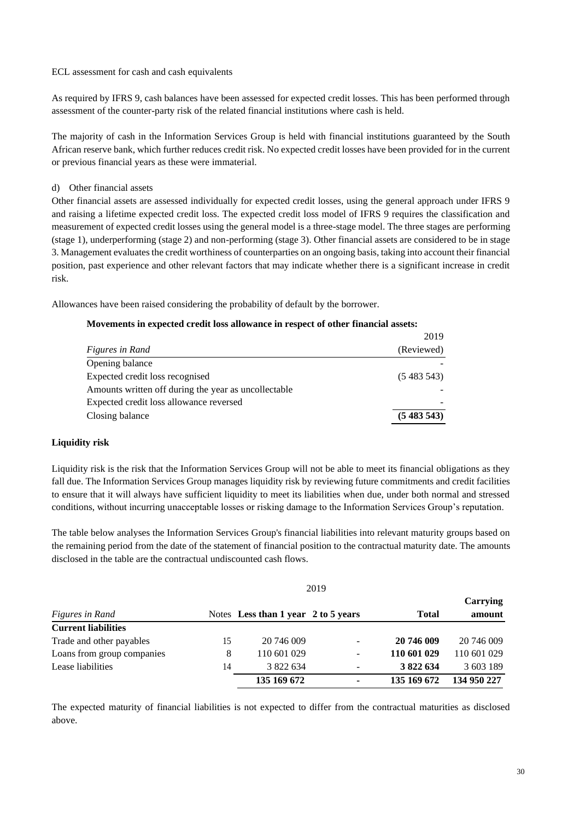#### ECL assessment for cash and cash equivalents

As required by IFRS 9, cash balances have been assessed for expected credit losses. This has been performed through assessment of the counter-party risk of the related financial institutions where cash is held.

The majority of cash in the Information Services Group is held with financial institutions guaranteed by the South African reserve bank, which further reduces credit risk. No expected credit losses have been provided for in the current or previous financial years as these were immaterial.

#### d) Other financial assets

Other financial assets are assessed individually for expected credit losses, using the general approach under IFRS 9 and raising a lifetime expected credit loss. The expected credit loss model of IFRS 9 requires the classification and measurement of expected credit losses using the general model is a three-stage model. The three stages are performing (stage 1), underperforming (stage 2) and non-performing (stage 3). Other financial assets are considered to be in stage 3. Management evaluates the credit worthiness of counterparties on an ongoing basis, taking into account their financial position, past experience and other relevant factors that may indicate whether there is a significant increase in credit risk.

Allowances have been raised considering the probability of default by the borrower.

#### **Movements in expected credit loss allowance in respect of other financial assets:**

|                                                      | 2019       |
|------------------------------------------------------|------------|
| Figures in Rand                                      | (Reviewed) |
| Opening balance                                      |            |
| Expected credit loss recognised                      | (5483543)  |
| Amounts written off during the year as uncollectable |            |
| Expected credit loss allowance reversed              |            |
| Closing balance                                      | (5483543)  |

#### **Liquidity risk**

Liquidity risk is the risk that the Information Services Group will not be able to meet its financial obligations as they fall due. The Information Services Group manages liquidity risk by reviewing future commitments and credit facilities to ensure that it will always have sufficient liquidity to meet its liabilities when due, under both normal and stressed conditions, without incurring unacceptable losses or risking damage to the Information Services Group's reputation.

The table below analyses the Information Services Group's financial liabilities into relevant maturity groups based on the remaining period from the date of the statement of financial position to the contractual maturity date. The amounts disclosed in the table are the contractual undiscounted cash flows.

| Figures in Rand            |    | Notes Less than 1 year 2 to 5 years | <b>Total</b>             | Carrying<br>amount |             |
|----------------------------|----|-------------------------------------|--------------------------|--------------------|-------------|
| <b>Current liabilities</b> |    |                                     |                          |                    |             |
| Trade and other payables   | 15 | 20 746 009                          | $\overline{\phantom{a}}$ | 20 746 009         | 20 746 009  |
| Loans from group companies | 8  | 110 601 029                         | ٠                        | 110 601 029        | 110 601 029 |
| Lease liabilities          | 14 | 3 822 634                           | $\overline{\phantom{a}}$ | 3 822 634          | 3 603 189   |
|                            |    | 135 169 672                         | ٠                        | 135 169 672        | 134 950 227 |

The expected maturity of financial liabilities is not expected to differ from the contractual maturities as disclosed above.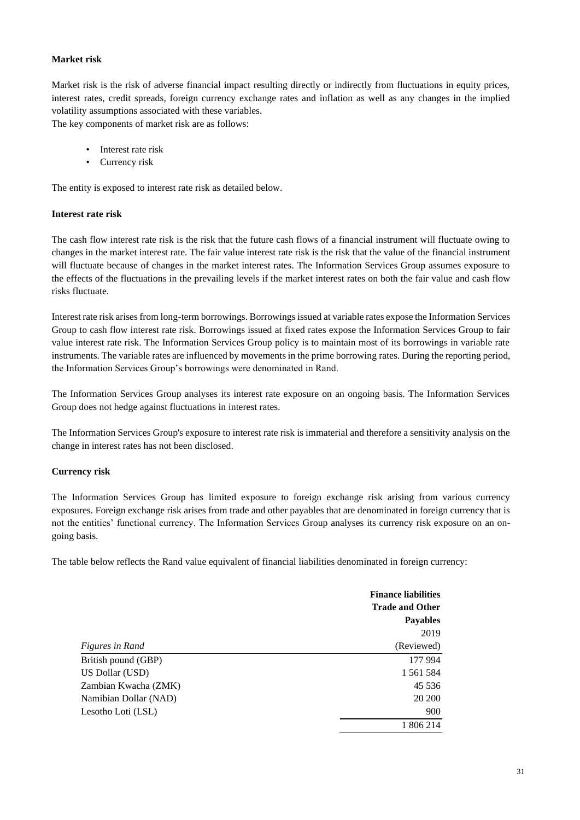### **Market risk**

Market risk is the risk of adverse financial impact resulting directly or indirectly from fluctuations in equity prices, interest rates, credit spreads, foreign currency exchange rates and inflation as well as any changes in the implied volatility assumptions associated with these variables.

The key components of market risk are as follows:

- Interest rate risk
- Currency risk

The entity is exposed to interest rate risk as detailed below.

#### **Interest rate risk**

The cash flow interest rate risk is the risk that the future cash flows of a financial instrument will fluctuate owing to changes in the market interest rate. The fair value interest rate risk is the risk that the value of the financial instrument will fluctuate because of changes in the market interest rates. The Information Services Group assumes exposure to the effects of the fluctuations in the prevailing levels if the market interest rates on both the fair value and cash flow risks fluctuate.

Interest rate risk arises from long-term borrowings. Borrowings issued at variable rates expose the Information Services Group to cash flow interest rate risk. Borrowings issued at fixed rates expose the Information Services Group to fair value interest rate risk. The Information Services Group policy is to maintain most of its borrowings in variable rate instruments. The variable rates are influenced by movements in the prime borrowing rates. During the reporting period, the Information Services Group's borrowings were denominated in Rand.

The Information Services Group analyses its interest rate exposure on an ongoing basis. The Information Services Group does not hedge against fluctuations in interest rates.

The Information Services Group's exposure to interest rate risk is immaterial and therefore a sensitivity analysis on the change in interest rates has not been disclosed.

#### **Currency risk**

The Information Services Group has limited exposure to foreign exchange risk arising from various currency exposures. Foreign exchange risk arises from trade and other payables that are denominated in foreign currency that is not the entities' functional currency. The Information Services Group analyses its currency risk exposure on an ongoing basis.

The table below reflects the Rand value equivalent of financial liabilities denominated in foreign currency:

|                       | <b>Finance liabilities</b> |
|-----------------------|----------------------------|
|                       | <b>Trade and Other</b>     |
|                       | <b>Payables</b>            |
|                       | 2019                       |
| Figures in Rand       | (Reviewed)                 |
| British pound (GBP)   | 177 994                    |
| US Dollar (USD)       | 1 561 584                  |
| Zambian Kwacha (ZMK)  | 45 5 36                    |
| Namibian Dollar (NAD) | 20 200                     |
| Lesotho Loti (LSL)    | 900                        |
|                       | 1 806 214                  |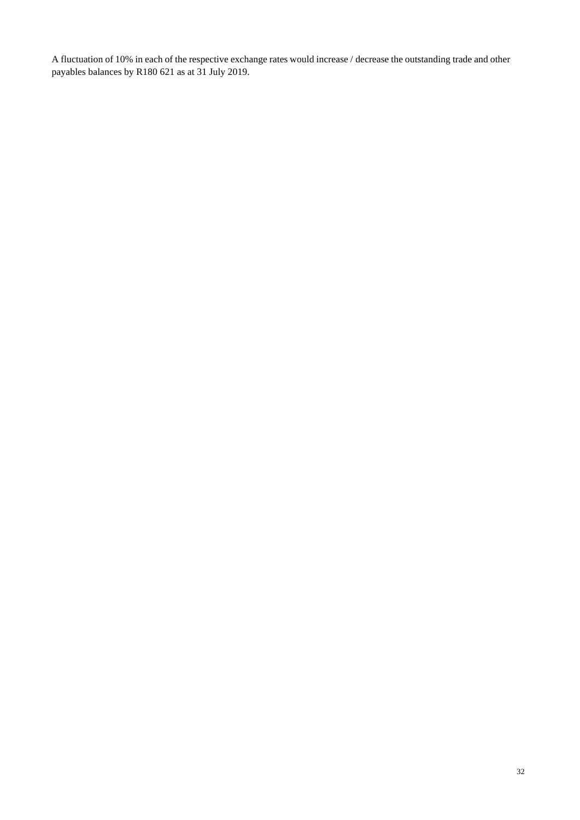A fluctuation of 10% in each of the respective exchange rates would increase / decrease the outstanding trade and other payables balances by R180 621 as at 31 July 2019.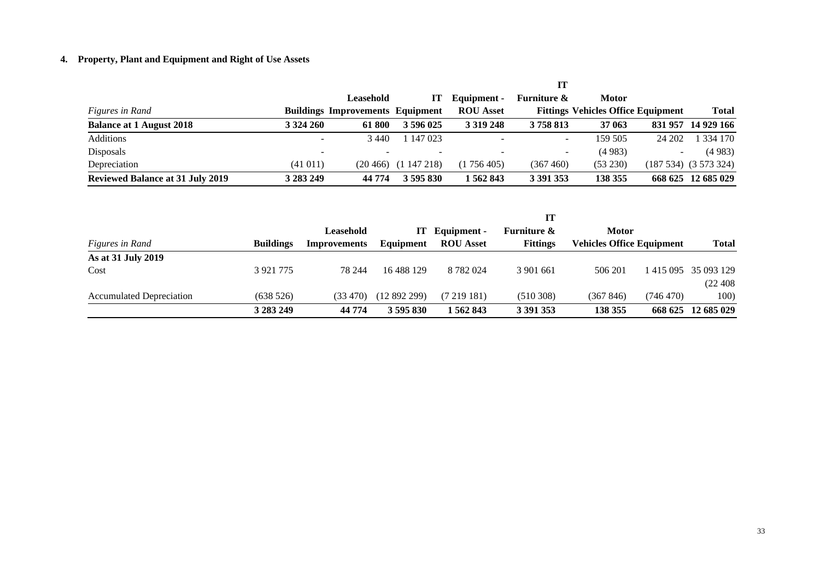# **4. Property, Plant and Equipment and Right of Use Assets**

|                                         |                          |                                         |                             |                          | П                        |                                           |                          |                        |
|-----------------------------------------|--------------------------|-----------------------------------------|-----------------------------|--------------------------|--------------------------|-------------------------------------------|--------------------------|------------------------|
|                                         |                          | Leasehold                               | Н                           | Equipment -              | <b>Furniture &amp;</b>   | <b>Motor</b>                              |                          |                        |
| Figures in Rand                         |                          | <b>Buildings Improvements Equipment</b> |                             | <b>ROU</b> Asset         |                          | <b>Fittings Vehicles Office Equipment</b> |                          | <b>Total</b>           |
| <b>Balance at 1 August 2018</b>         | 3 3 2 4 2 6 0            | 61 800                                  | 3 596 025                   | 3 3 19 2 48              | 3758813                  | 37 063                                    | 831957                   | 14 929 166             |
| Additions                               | $\overline{\phantom{0}}$ | 3440                                    | 147 023                     | $\overline{\phantom{a}}$ | $\overline{\phantom{0}}$ | 159 505                                   | 24 202                   | 1 334 170              |
| <b>Disposals</b>                        | $\overline{\phantom{0}}$ | $\overline{\phantom{a}}$                | $\overline{\phantom{a}}$    | $\overline{\phantom{a}}$ |                          | (4983)                                    | $\overline{\phantom{0}}$ | (4983)                 |
| Depreciation                            | (41011)                  |                                         | $(20\,466)$ $(1\,147\,218)$ | (1756405)                | (367 460)                | (53 230)                                  |                          | $(187534)$ $(3573324)$ |
| <b>Reviewed Balance at 31 July 2019</b> | 3 283 249                | 44 774                                  | 3 595 830                   | 1 562 843                | 3 3 9 1 3 5 3            | 138 355                                   |                          | 668 625 12 685 029     |

|                          |                  |                     |              |                  | IT                     |                                  |           |                               |
|--------------------------|------------------|---------------------|--------------|------------------|------------------------|----------------------------------|-----------|-------------------------------|
|                          |                  | Leasehold           | т            | Equipment -      | <b>Furniture &amp;</b> | <b>Motor</b>                     |           |                               |
| Figures in Rand          | <b>Buildings</b> | <b>Improvements</b> | Equipment    | <b>ROU</b> Asset | <b>Fittings</b>        | <b>Vehicles Office Equipment</b> |           | <b>Total</b>                  |
| As at 31 July 2019       |                  |                     |              |                  |                        |                                  |           |                               |
| Cost                     | 3 9 21 7 7 5     | 78 244              | 16 488 129   | 8 7 8 2 0 2 4    | 3 901 661              | 506 201                          |           | 1 4 1 5 0 9 5 3 5 0 9 3 1 2 9 |
|                          |                  |                     |              |                  |                        |                                  |           | (22 408                       |
| Accumulated Depreciation | (638526)         | (33, 470)           | (12 892 299) | (7219181)        | (510308)               | (367846)                         | (746 470) | 100)                          |
|                          | 3 283 249        | 44 774              | 3 595 830    | 562843           | 3 391 353              | 138 355                          |           | 668 625 12 685 029            |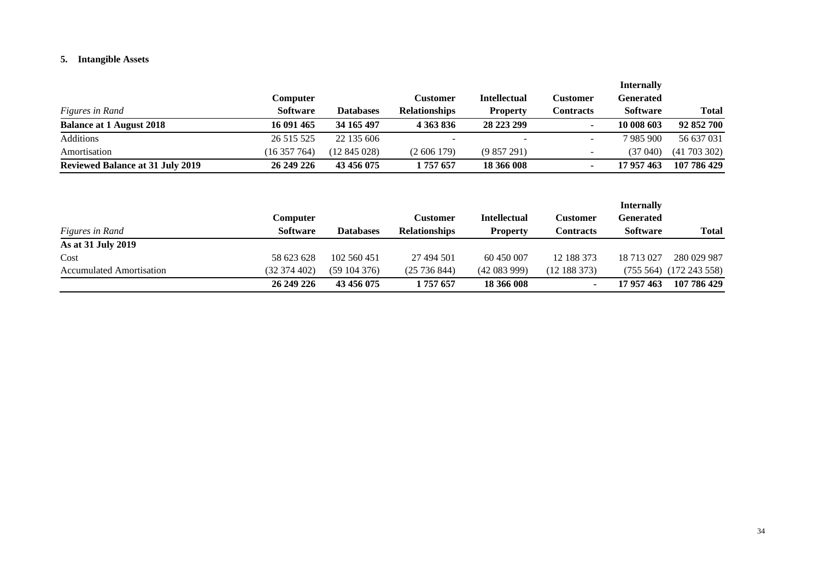# **5. Intangible Assets**

|                                         |                 |              |                      |                     |                          | <b>Internally</b> |              |
|-----------------------------------------|-----------------|--------------|----------------------|---------------------|--------------------------|-------------------|--------------|
|                                         | Computer        |              | Customer             | <b>Intellectual</b> | Customer                 | Generated         |              |
| <i>Figures in Rand</i>                  | <b>Software</b> | Databases    | <b>Relationships</b> | Property            | Contracts                | <b>Software</b>   | <b>Total</b> |
| <b>Balance at 1 August 2018</b>         | 16 091 465      | 34 165 497   | 4 363 836            | 28 223 299          |                          | 10 008 603        | 92 852 700   |
| Additions                               | 26 515 525      | 22 135 606   |                      |                     |                          | 7 985 900         | 56 637 031   |
| Amortisation                            | (16357764)      | (12 845 028) | (2606179)            | (9857291)           | $\overline{\phantom{0}}$ | (37 040)          | (41703302)   |
| <b>Reviewed Balance at 31 July 2019</b> | 26 249 226      | 43 456 075   | 1 757 657            | 18 366 008          |                          | 17 957 463        | 107 786 429  |

|                                 |                 |             |                      |                     |                  | <b>Internally</b> |                   |
|---------------------------------|-----------------|-------------|----------------------|---------------------|------------------|-------------------|-------------------|
|                                 | Computer        |             | <b>Customer</b>      | <b>Intellectual</b> | Customer         | <b>Generated</b>  |                   |
| Figures in Rand                 | <b>Software</b> | Databases   | <b>Relationships</b> | <b>Property</b>     | <b>Contracts</b> | <b>Software</b>   | <b>Total</b>      |
| As at 31 July 2019              |                 |             |                      |                     |                  |                   |                   |
| Cost                            | 58 623 628      | 102 560 451 | 27 494 501           | 60 450 007          | 12 188 373       | 18 713 027        | 280 029 987       |
| <b>Accumulated Amortisation</b> | (32 374 402)    | (59104376)  | (25736844)           | (42083999)          | (12 188 373)     | $(755\,564)$      | $(172\,243\,558)$ |
|                                 | 26 249 226      | 43 456 075  | . 757 657            | 18 366 008          | ۰                | 17 957 463        | 107 786 429       |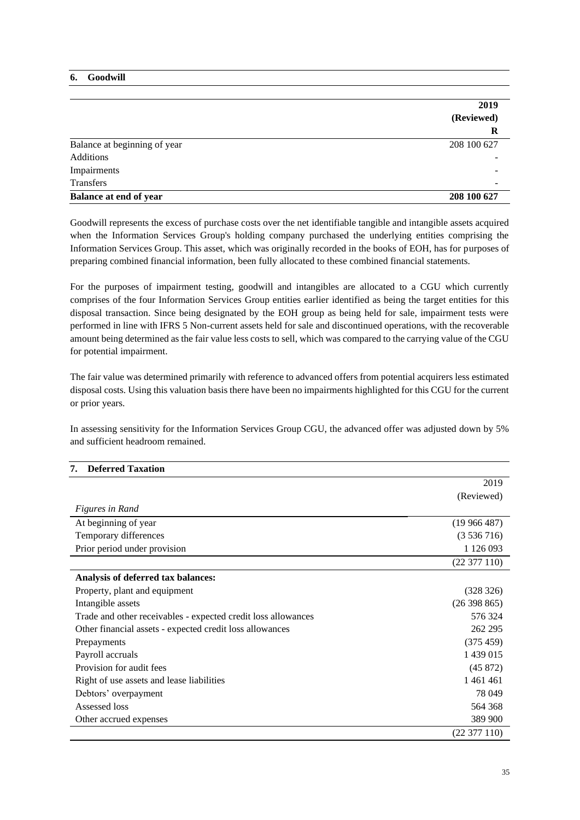### **6. Goodwill**

|                              | 2019                     |
|------------------------------|--------------------------|
|                              | (Reviewed)               |
|                              | R                        |
| Balance at beginning of year | 208 100 627              |
| <b>Additions</b>             |                          |
| Impairments                  |                          |
| Transfers                    | $\overline{\phantom{0}}$ |
| Balance at end of year       | 208 100 627              |

Goodwill represents the excess of purchase costs over the net identifiable tangible and intangible assets acquired when the Information Services Group's holding company purchased the underlying entities comprising the Information Services Group. This asset, which was originally recorded in the books of EOH, has for purposes of preparing combined financial information, been fully allocated to these combined financial statements.

For the purposes of impairment testing, goodwill and intangibles are allocated to a CGU which currently comprises of the four Information Services Group entities earlier identified as being the target entities for this disposal transaction. Since being designated by the EOH group as being held for sale, impairment tests were performed in line with IFRS 5 Non-current assets held for sale and discontinued operations, with the recoverable amount being determined as the fair value less costs to sell, which was compared to the carrying value of the CGU for potential impairment.

The fair value was determined primarily with reference to advanced offers from potential acquirers less estimated disposal costs. Using this valuation basis there have been no impairments highlighted for this CGU for the current or prior years.

In assessing sensitivity for the Information Services Group CGU, the advanced offer was adjusted down by 5% and sufficient headroom remained.

|                                                               | 2019          |
|---------------------------------------------------------------|---------------|
|                                                               | (Reviewed)    |
| <b>Figures in Rand</b>                                        |               |
| At beginning of year                                          | (19966487)    |
| Temporary differences                                         | (3536716)     |
| Prior period under provision                                  | 1 1 2 6 0 9 3 |
|                                                               | (22377110)    |
| Analysis of deferred tax balances:                            |               |
| Property, plant and equipment                                 | (328 326)     |
| Intangible assets                                             | (26398865)    |
| Trade and other receivables - expected credit loss allowances | 576 324       |
| Other financial assets - expected credit loss allowances      | 262 295       |
| Prepayments                                                   | (375 459)     |
| Payroll accruals                                              | 1 439 015     |
| Provision for audit fees                                      | (45872)       |
| Right of use assets and lease liabilities                     | 1461461       |
| Debtors' overpayment                                          | 78 049        |
| Assessed loss                                                 | 564 368       |
| Other accrued expenses                                        | 389 900       |
|                                                               | (22377110)    |

## **7. Deferred Taxation**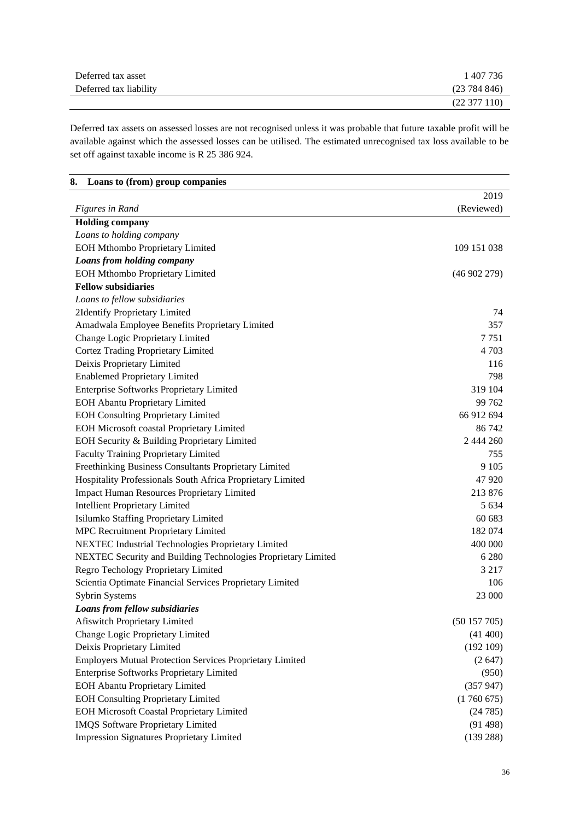| Deferred tax asset     | 407 736          |
|------------------------|------------------|
| Deferred tax liability | (23784846)       |
|                        | $(22\,377\,110)$ |

Deferred tax assets on assessed losses are not recognised unless it was probable that future taxable profit will be available against which the assessed losses can be utilised. The estimated unrecognised tax loss available to be set off against taxable income is R 25 386 924.

| Loans to (from) group companies<br>8.                           |             |
|-----------------------------------------------------------------|-------------|
|                                                                 | 2019        |
| Figures in Rand                                                 | (Reviewed)  |
| <b>Holding company</b>                                          |             |
| Loans to holding company                                        |             |
| <b>EOH Mthombo Proprietary Limited</b>                          | 109 151 038 |
| Loans from holding company                                      |             |
| EOH Mthombo Proprietary Limited                                 | (46902279)  |
| <b>Fellow subsidiaries</b>                                      |             |
| Loans to fellow subsidiaries                                    |             |
| 2Identify Proprietary Limited                                   | 74          |
| Amadwala Employee Benefits Proprietary Limited                  | 357         |
| Change Logic Proprietary Limited                                | 7751        |
| Cortez Trading Proprietary Limited                              | 4 7 0 3     |
| Deixis Proprietary Limited                                      | 116         |
| <b>Enablemed Proprietary Limited</b>                            | 798         |
| <b>Enterprise Softworks Proprietary Limited</b>                 | 319 104     |
| <b>EOH Abantu Proprietary Limited</b>                           | 99 762      |
| <b>EOH Consulting Proprietary Limited</b>                       | 66 912 694  |
| <b>EOH Microsoft coastal Proprietary Limited</b>                | 86 742      |
| EOH Security & Building Proprietary Limited                     | 2 444 260   |
| <b>Faculty Training Proprietary Limited</b>                     | 755         |
| Freethinking Business Consultants Proprietary Limited           | 9 1 0 5     |
| Hospitality Professionals South Africa Proprietary Limited      | 47 9 20     |
| <b>Impact Human Resources Proprietary Limited</b>               | 213 876     |
| <b>Intellient Proprietary Limited</b>                           | 5 6 3 4     |
| Isilumko Staffing Proprietary Limited                           | 60 683      |
| MPC Recruitment Proprietary Limited                             | 182 074     |
| NEXTEC Industrial Technologies Proprietary Limited              | 400 000     |
| NEXTEC Security and Building Technologies Proprietary Limited   | 6 2 8 0     |
| Regro Techology Proprietary Limited                             | 3 2 1 7     |
| Scientia Optimate Financial Services Proprietary Limited        | 106         |
| <b>Sybrin Systems</b>                                           | 23 000      |
| Loans from fellow subsidiaries                                  |             |
| <b>Afiswitch Proprietary Limited</b>                            | (50157705)  |
| Change Logic Proprietary Limited                                | (41 400)    |
| Deixis Proprietary Limited                                      | (192109)    |
| <b>Employers Mutual Protection Services Proprietary Limited</b> | (2647)      |
| Enterprise Softworks Proprietary Limited                        | (950)       |
| <b>EOH Abantu Proprietary Limited</b>                           | (357947)    |
| <b>EOH Consulting Proprietary Limited</b>                       | (1760675)   |
| <b>EOH Microsoft Coastal Proprietary Limited</b>                | (24785)     |
| <b>IMQS</b> Software Proprietary Limited                        | (91498)     |
| <b>Impression Signatures Proprietary Limited</b>                | (139 288)   |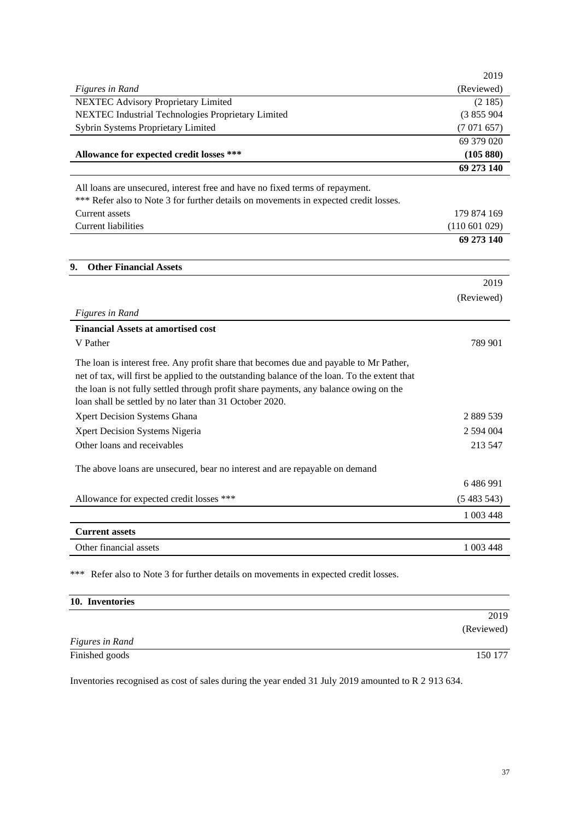|                                                                                              | 2019        |
|----------------------------------------------------------------------------------------------|-------------|
| <b>Figures in Rand</b>                                                                       | (Reviewed)  |
| <b>NEXTEC Advisory Proprietary Limited</b>                                                   | (2185)      |
| NEXTEC Industrial Technologies Proprietary Limited                                           | (3855904)   |
| Sybrin Systems Proprietary Limited                                                           | (7071657)   |
|                                                                                              | 69 379 020  |
| Allowance for expected credit losses ***                                                     | (105 880)   |
|                                                                                              | 69 273 140  |
| All loans are unsecured, interest free and have no fixed terms of repayment.                 |             |
| *** Refer also to Note 3 for further details on movements in expected credit losses.         |             |
| Current assets                                                                               | 179 874 169 |
| <b>Current liabilities</b>                                                                   | (110601029) |
|                                                                                              | 69 273 140  |
| <b>Other Financial Assets</b><br>9.                                                          |             |
|                                                                                              | 2019        |
|                                                                                              | (Reviewed)  |
| <b>Figures in Rand</b>                                                                       |             |
| <b>Financial Assets at amortised cost</b>                                                    |             |
| V Pather                                                                                     | 789 901     |
|                                                                                              |             |
| The loan is interest free. Any profit share that becomes due and payable to Mr Pather,       |             |
| net of tax, will first be applied to the outstanding balance of the loan. To the extent that |             |
| the loan is not fully settled through profit share payments, any balance owing on the        |             |
| loan shall be settled by no later than 31 October 2020.                                      |             |
| Xpert Decision Systems Ghana                                                                 | 2 889 539   |
| Xpert Decision Systems Nigeria                                                               | 2 594 004   |
| Other loans and receivables                                                                  | 213 547     |
| The above loans are unsecured, bear no interest and are repayable on demand                  |             |
|                                                                                              | 6486991     |
| Allowance for expected credit losses ***                                                     | (5483543)   |
|                                                                                              |             |
|                                                                                              | 1 003 448   |
| <b>Current assets</b>                                                                        |             |
| Other financial assets                                                                       | 1 003 448   |
| Refer also to Note 3 for further details on movements in expected credit losses.<br>***      |             |
| 10. Inventories                                                                              |             |
|                                                                                              | 2019        |
|                                                                                              | (Reviewed)  |
| <b>Figures in Rand</b>                                                                       |             |

Inventories recognised as cost of sales during the year ended 31 July 2019 amounted to R 2 913 634.

Finished goods 150 177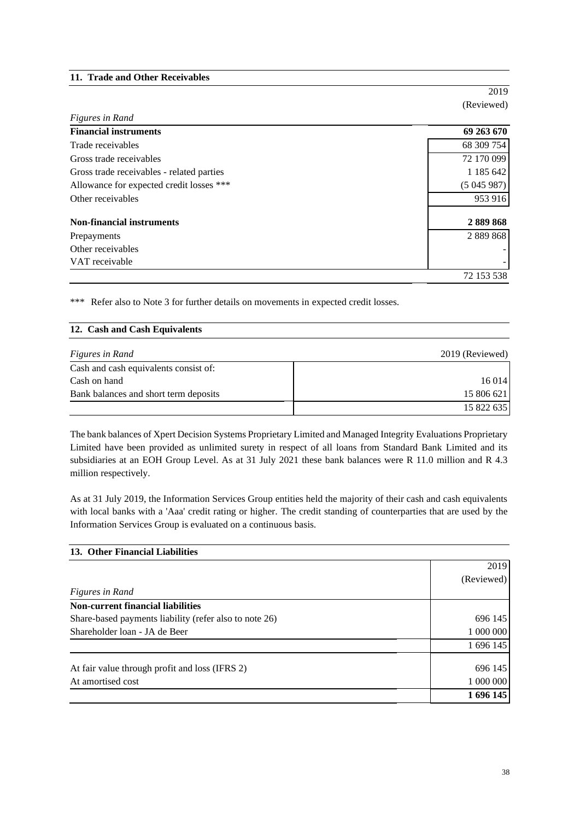### **11. Trade and Other Receivables**

2019 (Reviewed)

| Figures in Rand                           |            |
|-------------------------------------------|------------|
| <b>Financial instruments</b>              | 69 263 670 |
| Trade receivables                         | 68 309 754 |
| Gross trade receivables                   | 72 170 099 |
| Gross trade receivables - related parties | 1 185 642  |
| Allowance for expected credit losses ***  | (5045987)  |
| Other receivables                         | 953 916    |
| <b>Non-financial instruments</b>          | 2889868    |
| Prepayments                               | 2 889 868  |
| Other receivables                         |            |
| VAT receivable                            |            |
|                                           | 72 153 538 |

\*\*\* Refer also to Note 3 for further details on movements in expected credit losses.

# **12. Cash and Cash Equivalents**

| <i>Figures in Rand</i>                | 2019 (Reviewed) |
|---------------------------------------|-----------------|
| Cash and cash equivalents consist of: |                 |
| Cash on hand                          | 16 014          |
| Bank balances and short term deposits | 15 806 621      |
|                                       | 15 822 635      |

The bank balances of Xpert Decision Systems Proprietary Limited and Managed Integrity Evaluations Proprietary Limited have been provided as unlimited surety in respect of all loans from Standard Bank Limited and its subsidiaries at an EOH Group Level. As at 31 July 2021 these bank balances were R 11.0 million and R 4.3 million respectively.

As at 31 July 2019, the Information Services Group entities held the majority of their cash and cash equivalents with local banks with a 'Aaa' credit rating or higher. The credit standing of counterparties that are used by the Information Services Group is evaluated on a continuous basis.

| 13. Other Financial Liabilities                        |            |
|--------------------------------------------------------|------------|
|                                                        | 2019       |
|                                                        | (Reviewed) |
| Figures in Rand                                        |            |
| <b>Non-current financial liabilities</b>               |            |
| Share-based payments liability (refer also to note 26) | 696 145    |
| Shareholder loan - JA de Beer                          | 1 000 000  |
|                                                        | 1 696 145  |
| At fair value through profit and loss (IFRS 2)         | 696 145    |
| At amortised cost                                      | 1 000 000  |
|                                                        | 1 696 145  |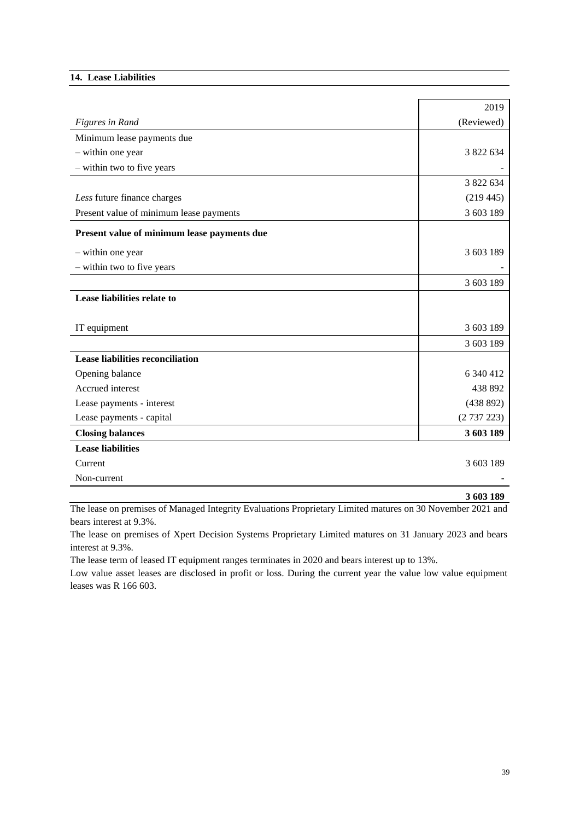### **14. Lease Liabilities**

|                                             | 2019       |
|---------------------------------------------|------------|
| <b>Figures in Rand</b>                      | (Reviewed) |
| Minimum lease payments due                  |            |
| - within one year                           | 3 822 634  |
| - within two to five years                  |            |
|                                             | 3 822 634  |
| Less future finance charges                 | (219445)   |
| Present value of minimum lease payments     | 3 603 189  |
| Present value of minimum lease payments due |            |
| - within one year                           | 3 603 189  |
| - within two to five years                  |            |
|                                             | 3 603 189  |
| Lease liabilities relate to                 |            |
|                                             |            |
| IT equipment                                | 3 603 189  |
|                                             | 3 603 189  |
| <b>Lease liabilities reconciliation</b>     |            |
| Opening balance                             | 6 340 412  |
| Accrued interest                            | 438 892    |
| Lease payments - interest                   | (438 892)  |
| Lease payments - capital                    | (2737223)  |
| <b>Closing balances</b>                     | 3 603 189  |
| <b>Lease liabilities</b>                    |            |
| Current                                     | 3 603 189  |
| Non-current                                 |            |

**3 603 189**

The lease on premises of Managed Integrity Evaluations Proprietary Limited matures on 30 November 2021 and bears interest at 9.3%.

The lease on premises of Xpert Decision Systems Proprietary Limited matures on 31 January 2023 and bears interest at 9.3%.

The lease term of leased IT equipment ranges terminates in 2020 and bears interest up to 13%.

Low value asset leases are disclosed in profit or loss. During the current year the value low value equipment leases was R 166 603.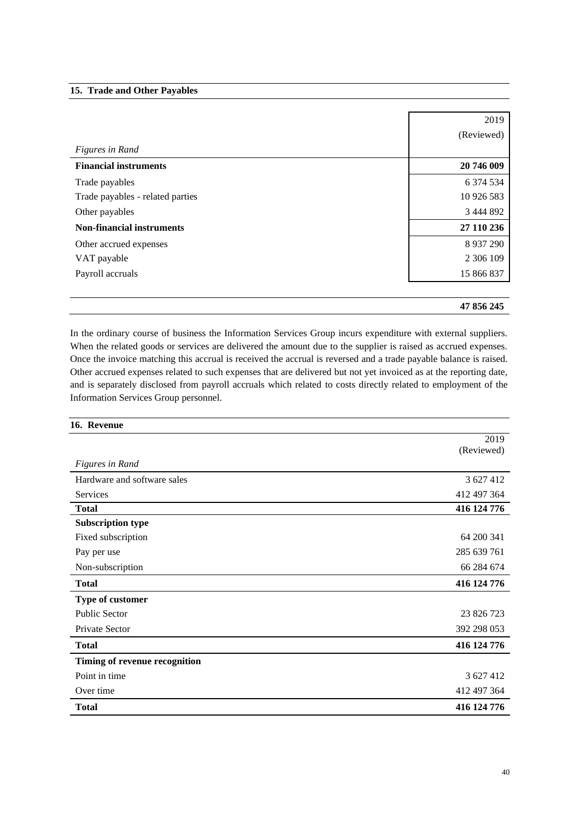### **15. Trade and Other Payables**

|                                  | 2019        |
|----------------------------------|-------------|
|                                  | (Reviewed)  |
| Figures in Rand                  |             |
| <b>Financial instruments</b>     | 20 746 009  |
| Trade payables                   | 6 374 534   |
| Trade payables - related parties | 10 926 583  |
| Other payables                   | 3 444 892   |
| <b>Non-financial instruments</b> | 27 110 236  |
| Other accrued expenses           | 8 9 37 2 90 |
| VAT payable                      | 2 306 109   |
| Payroll accruals                 | 15 866 837  |
|                                  |             |
|                                  | 47 856 245  |

In the ordinary course of business the Information Services Group incurs expenditure with external suppliers. When the related goods or services are delivered the amount due to the supplier is raised as accrued expenses. Once the invoice matching this accrual is received the accrual is reversed and a trade payable balance is raised. Other accrued expenses related to such expenses that are delivered but not yet invoiced as at the reporting date, and is separately disclosed from payroll accruals which related to costs directly related to employment of the Information Services Group personnel.

| 16. Revenue                   |             |
|-------------------------------|-------------|
|                               | 2019        |
|                               | (Reviewed)  |
| <b>Figures in Rand</b>        |             |
| Hardware and software sales   | 3 627 412   |
| <b>Services</b>               | 412 497 364 |
| <b>Total</b>                  | 416 124 776 |
| <b>Subscription type</b>      |             |
| Fixed subscription            | 64 200 341  |
| Pay per use                   | 285 639 761 |
| Non-subscription              | 66 284 674  |
| <b>Total</b>                  | 416 124 776 |
| Type of customer              |             |
| Public Sector                 | 23 826 723  |
| Private Sector                | 392 298 053 |
| <b>Total</b>                  | 416 124 776 |
| Timing of revenue recognition |             |
| Point in time                 | 3 627 412   |
| Over time                     | 412 497 364 |
| <b>Total</b>                  | 416 124 776 |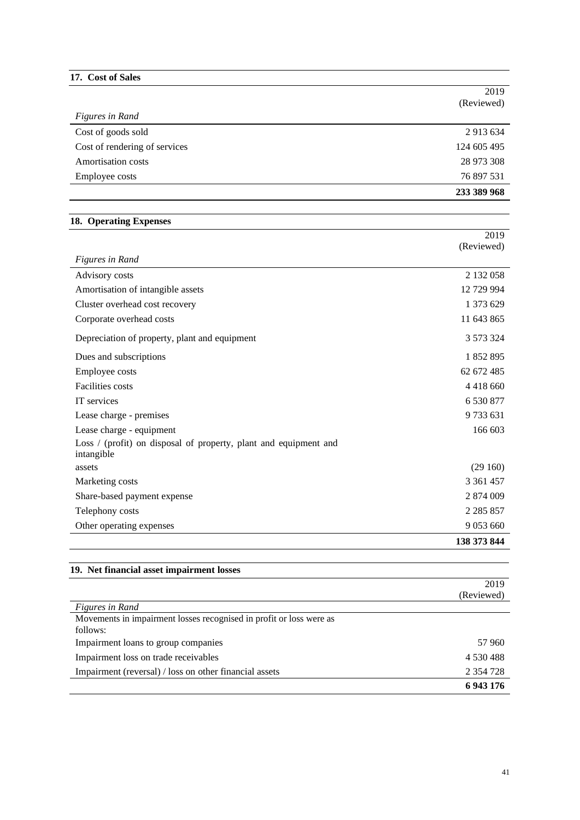| 17. Cost of Sales |  |
|-------------------|--|
|-------------------|--|

|                                                                                                            | 2019          |
|------------------------------------------------------------------------------------------------------------|---------------|
|                                                                                                            | (Reviewed)    |
| <b>Figures in Rand</b>                                                                                     |               |
| Cost of goods sold                                                                                         | 2 913 634     |
| Cost of rendering of services                                                                              | 124 605 495   |
| <b>Amortisation costs</b>                                                                                  | 28 973 308    |
| Employee costs                                                                                             | 76 897 531    |
|                                                                                                            | 233 389 968   |
| 18. Operating Expenses                                                                                     |               |
|                                                                                                            | 2019          |
|                                                                                                            | (Reviewed)    |
| Figures in Rand                                                                                            |               |
| Advisory costs                                                                                             | 2 132 058     |
| Amortisation of intangible assets                                                                          | 12 729 994    |
| Cluster overhead cost recovery                                                                             | 1 373 629     |
| Corporate overhead costs                                                                                   | 11 643 865    |
| Depreciation of property, plant and equipment                                                              | 3 573 324     |
| Dues and subscriptions                                                                                     | 1852895       |
| Employee costs                                                                                             | 62 672 485    |
| Facilities costs                                                                                           | 4 4 1 8 6 6 0 |
| IT services                                                                                                | 6 530 877     |
| Lease charge - premises                                                                                    | 9733631       |
| Lease charge - equipment<br>Loss / (profit) on disposal of property, plant and equipment and<br>intangible | 166 603       |
| assets                                                                                                     | (29160)       |
| Marketing costs                                                                                            | 3 3 6 1 4 5 7 |
| Share-based payment expense                                                                                | 2 874 009     |
| Telephony costs                                                                                            | 2 285 857     |
| Other operating expenses                                                                                   | 9 0 53 6 60   |
|                                                                                                            | 138 373 844   |
| 19. Net financial asset impairment losses                                                                  |               |
|                                                                                                            | 2019          |

|                                                                     | (Reviewed)    |
|---------------------------------------------------------------------|---------------|
| <i>Figures in Rand</i>                                              |               |
| Movements in impairment losses recognised in profit or loss were as |               |
| follows:                                                            |               |
| Impairment loans to group companies                                 | 57 960        |
| Impairment loss on trade receivables                                | 4 530 488     |
| Impairment (reversal) / loss on other financial assets              | 2 3 5 4 7 2 8 |
|                                                                     | 6943176       |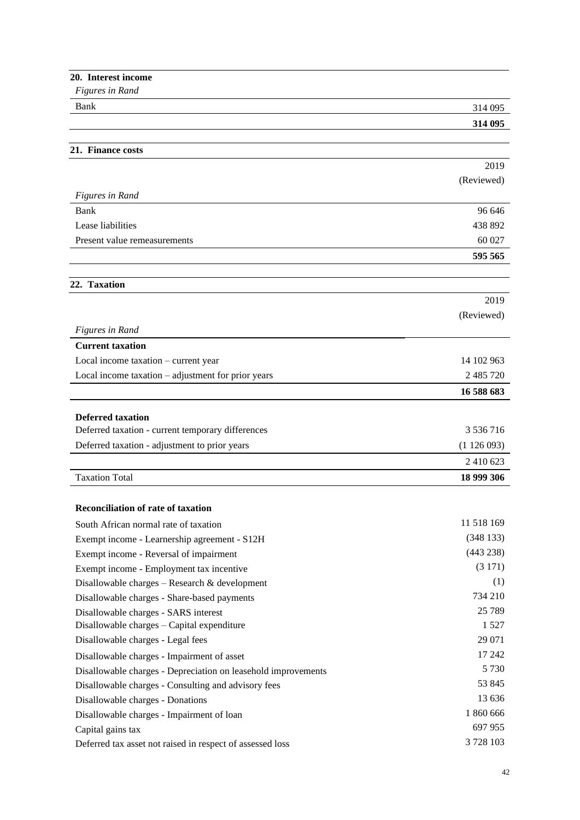| 20. Interest income                                           |            |
|---------------------------------------------------------------|------------|
| Figures in Rand                                               |            |
| Bank                                                          | 314 095    |
|                                                               | 314 095    |
|                                                               |            |
| 21. Finance costs                                             |            |
|                                                               | 2019       |
|                                                               | (Reviewed) |
| <b>Figures in Rand</b>                                        |            |
| Bank                                                          | 96 646     |
| Lease liabilities                                             | 438 892    |
| Present value remeasurements                                  | 60 027     |
|                                                               | 595 565    |
| 22. Taxation                                                  |            |
|                                                               | 2019       |
|                                                               | (Reviewed) |
|                                                               |            |
| <b>Figures in Rand</b><br><b>Current taxation</b>             |            |
| Local income taxation – current year                          | 14 102 963 |
| Local income taxation - adjustment for prior years            | 2 485 720  |
|                                                               |            |
|                                                               | 16 588 683 |
| <b>Deferred taxation</b>                                      |            |
| Deferred taxation - current temporary differences             | 3 536 716  |
| Deferred taxation - adjustment to prior years                 | (1126093)  |
|                                                               | 2 410 623  |
| <b>Taxation Total</b>                                         | 18 999 306 |
|                                                               |            |
| <b>Reconciliation of rate of taxation</b>                     |            |
| South African normal rate of taxation                         | 11 518 169 |
| Exempt income - Learnership agreement - S12H                  | (348133)   |
| Exempt income - Reversal of impairment                        | (443 238)  |
| Exempt income - Employment tax incentive                      | (3171)     |
| Disallowable charges $-$ Research $\&$ development            | (1)        |
| Disallowable charges - Share-based payments                   | 734 210    |
| Disallowable charges - SARS interest                          | 25 7 89    |
| Disallowable charges - Capital expenditure                    | 1 5 2 7    |
| Disallowable charges - Legal fees                             | 29 071     |
| Disallowable charges - Impairment of asset                    | 17 242     |
| Disallowable charges - Depreciation on leasehold improvements | 5 7 3 0    |
| Disallowable charges - Consulting and advisory fees           | 53 845     |
| Disallowable charges - Donations                              | 13 636     |
| Disallowable charges - Impairment of loan                     | 1 860 666  |
| Capital gains tax                                             | 697 955    |
| Deferred tax asset not raised in respect of assessed loss     | 3728103    |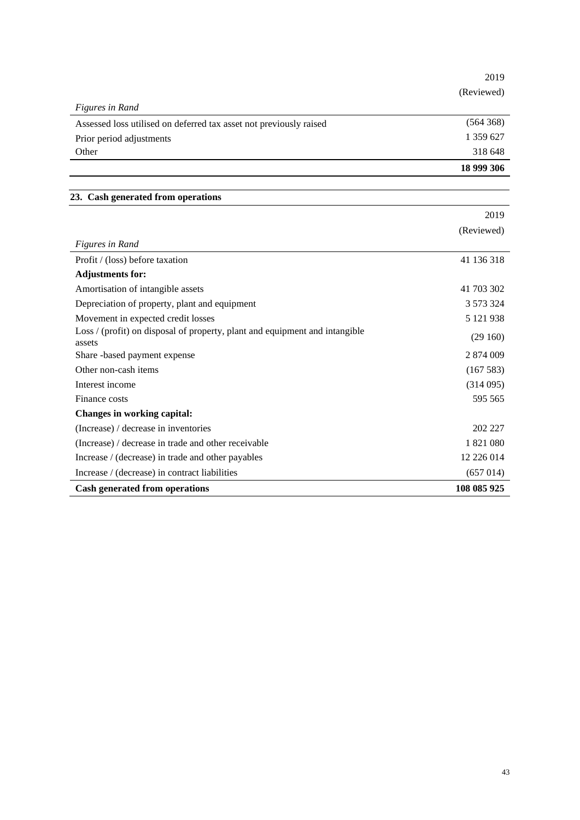|                                                                                       | 2019        |
|---------------------------------------------------------------------------------------|-------------|
|                                                                                       | (Reviewed)  |
| <b>Figures in Rand</b>                                                                |             |
| Assessed loss utilised on deferred tax asset not previously raised                    | (564 368)   |
| Prior period adjustments                                                              | 1 359 627   |
| Other                                                                                 | 318 648     |
|                                                                                       | 18 999 306  |
| 23. Cash generated from operations                                                    |             |
|                                                                                       | 2019        |
|                                                                                       | (Reviewed)  |
| <b>Figures in Rand</b>                                                                |             |
| Profit / (loss) before taxation                                                       | 41 136 318  |
| <b>Adjustments for:</b>                                                               |             |
| Amortisation of intangible assets                                                     | 41 703 302  |
| Depreciation of property, plant and equipment                                         | 3 573 324   |
| Movement in expected credit losses                                                    | 5 121 938   |
| Loss / (profit) on disposal of property, plant and equipment and intangible<br>assets | (29160)     |
| Share -based payment expense                                                          | 2 874 009   |
| Other non-cash items                                                                  | (167583)    |
| Interest income                                                                       | (314095)    |
| Finance costs                                                                         | 595 565     |
| Changes in working capital:                                                           |             |
| (Increase) / decrease in inventories                                                  | 202 227     |
| (Increase) / decrease in trade and other receivable                                   | 1821080     |
| Increase / (decrease) in trade and other payables                                     | 12 226 014  |
| Increase / (decrease) in contract liabilities                                         | (657014)    |
| <b>Cash generated from operations</b>                                                 | 108 085 925 |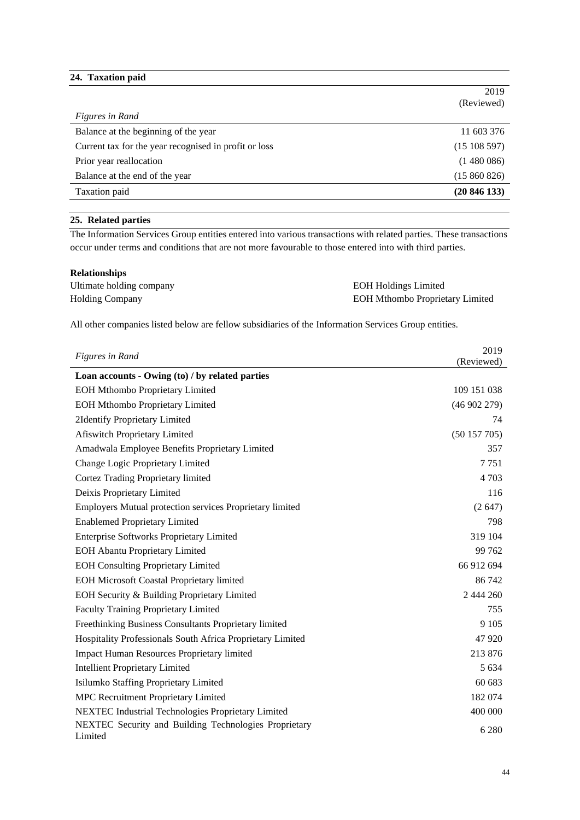## **24. Taxation paid**

|                                                       | 2019       |
|-------------------------------------------------------|------------|
|                                                       | (Reviewed) |
| Figures in Rand                                       |            |
| Balance at the beginning of the year                  | 11 603 376 |
| Current tax for the year recognised in profit or loss | (15108597) |
| Prior year reallocation                               | (1480086)  |
| Balance at the end of the year                        | (15860826) |
| Taxation paid                                         | (20846133) |

## **25. Related parties**

The Information Services Group entities entered into various transactions with related parties. These transactions occur under terms and conditions that are not more favourable to those entered into with third parties.

| <b>Relationships</b>     |                                        |
|--------------------------|----------------------------------------|
| Ultimate holding company | <b>EOH Holdings Limited</b>            |
| <b>Holding Company</b>   | <b>EOH Mthombo Proprietary Limited</b> |

All other companies listed below are fellow subsidiaries of the Information Services Group entities.

| <b>Figures in Rand</b>                                           | 2019        |
|------------------------------------------------------------------|-------------|
|                                                                  | (Reviewed)  |
| Loan accounts - Owing (to) / by related parties                  |             |
| <b>EOH Mthombo Proprietary Limited</b>                           | 109 151 038 |
| <b>EOH Mthombo Proprietary Limited</b>                           | (46902279)  |
| 2Identify Proprietary Limited                                    | 74          |
| Afiswitch Proprietary Limited                                    | (50157705)  |
| Amadwala Employee Benefits Proprietary Limited                   | 357         |
| Change Logic Proprietary Limited                                 | 7751        |
| Cortez Trading Proprietary limited                               | 4 7 0 3     |
| Deixis Proprietary Limited                                       | 116         |
| Employers Mutual protection services Proprietary limited         | (2647)      |
| <b>Enablemed Proprietary Limited</b>                             | 798         |
| <b>Enterprise Softworks Proprietary Limited</b>                  | 319 104     |
| <b>EOH Abantu Proprietary Limited</b>                            | 99 762      |
| <b>EOH Consulting Proprietary Limited</b>                        | 66 912 694  |
| <b>EOH Microsoft Coastal Proprietary limited</b>                 | 86 742      |
| EOH Security & Building Proprietary Limited                      | 2 444 260   |
| <b>Faculty Training Proprietary Limited</b>                      | 755         |
| Freethinking Business Consultants Proprietary limited            | 9 1 0 5     |
| Hospitality Professionals South Africa Proprietary Limited       | 47 9 20     |
| <b>Impact Human Resources Proprietary limited</b>                | 213 876     |
| <b>Intellient Proprietary Limited</b>                            | 5 6 3 4     |
| Isilumko Staffing Proprietary Limited                            | 60 683      |
| <b>MPC Recruitment Proprietary Limited</b>                       | 182 074     |
| <b>NEXTEC Industrial Technologies Proprietary Limited</b>        | 400 000     |
| NEXTEC Security and Building Technologies Proprietary<br>Limited | 6 2 8 0     |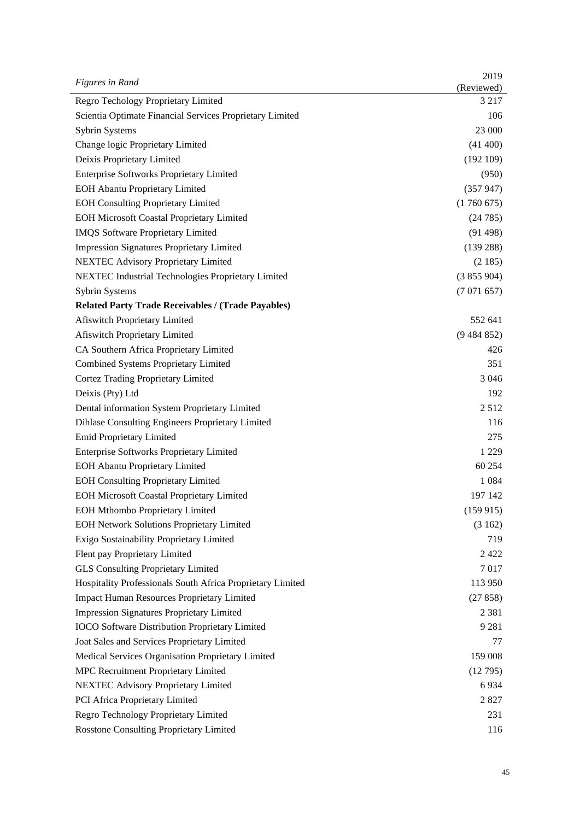| <b>Figures in Rand</b>                                     | 2019                  |
|------------------------------------------------------------|-----------------------|
| Regro Techology Proprietary Limited                        | (Reviewed)<br>3 2 1 7 |
| Scientia Optimate Financial Services Proprietary Limited   | 106                   |
| Sybrin Systems                                             | 23 000                |
| Change logic Proprietary Limited                           | (41 400)              |
| Deixis Proprietary Limited                                 | (192109)              |
| <b>Enterprise Softworks Proprietary Limited</b>            | (950)                 |
|                                                            |                       |
| <b>EOH Abantu Proprietary Limited</b>                      | (357947)              |
| <b>EOH Consulting Proprietary Limited</b>                  | (1760675)             |
| <b>EOH Microsoft Coastal Proprietary Limited</b>           | (24785)               |
| <b>IMQS</b> Software Proprietary Limited                   | (91498)               |
| <b>Impression Signatures Proprietary Limited</b>           | (139 288)             |
| <b>NEXTEC Advisory Proprietary Limited</b>                 | (2185)                |
| NEXTEC Industrial Technologies Proprietary Limited         | (3855904)             |
| Sybrin Systems                                             | (7071657)             |
| <b>Related Party Trade Receivables / (Trade Payables)</b>  |                       |
| Afiswitch Proprietary Limited                              | 552 641               |
| Afiswitch Proprietary Limited                              | (9484852)             |
| CA Southern Africa Proprietary Limited                     | 426                   |
| Combined Systems Proprietary Limited                       | 351                   |
| <b>Cortez Trading Proprietary Limited</b>                  | 3 0 4 6               |
| Deixis (Pty) Ltd                                           | 192                   |
| Dental information System Proprietary Limited              | 2512                  |
| Dihlase Consulting Engineers Proprietary Limited           | 116                   |
| Emid Proprietary Limited                                   | 275                   |
| <b>Enterprise Softworks Proprietary Limited</b>            | 1 2 2 9               |
| <b>EOH Abantu Proprietary Limited</b>                      | 60 254                |
| <b>EOH Consulting Proprietary Limited</b>                  | 1 0 8 4               |
| <b>EOH Microsoft Coastal Proprietary Limited</b>           | 197 142               |
| <b>EOH Mthombo Proprietary Limited</b>                     | (159915)              |
| <b>EOH Network Solutions Proprietary Limited</b>           | (3162)                |
| Exigo Sustainability Proprietary Limited                   | 719                   |
| Flent pay Proprietary Limited                              | 2422                  |
| <b>GLS Consulting Proprietary Limited</b>                  | 7017                  |
| Hospitality Professionals South Africa Proprietary Limited | 113 950               |
| <b>Impact Human Resources Proprietary Limited</b>          | (27858)               |
| <b>Impression Signatures Proprietary Limited</b>           | 2 3 8 1               |
| <b>IOCO</b> Software Distribution Proprietary Limited      | 9 2 8 1               |
| Joat Sales and Services Proprietary Limited                | 77                    |
| Medical Services Organisation Proprietary Limited          | 159 008               |
| MPC Recruitment Proprietary Limited                        | (12795)               |
| NEXTEC Advisory Proprietary Limited                        | 6934                  |
| PCI Africa Proprietary Limited                             | 2827                  |
| Regro Technology Proprietary Limited                       | 231                   |
| Rosstone Consulting Proprietary Limited                    | 116                   |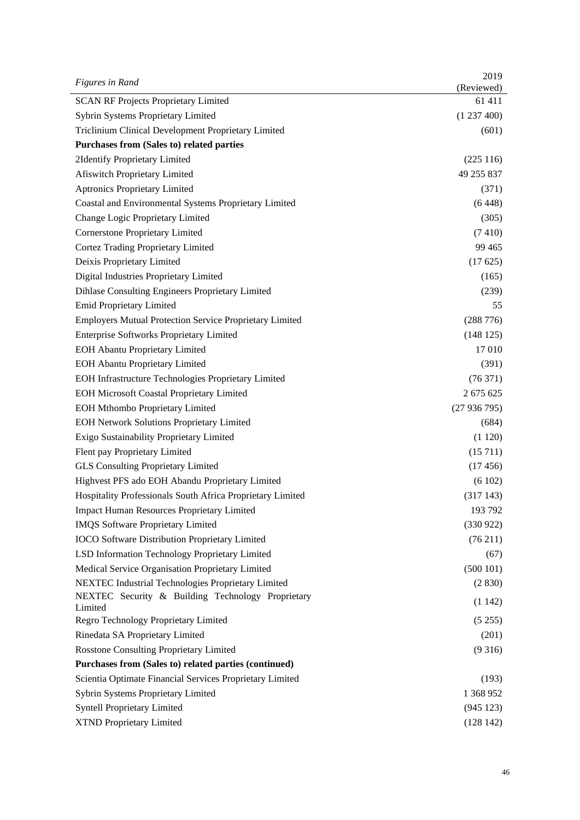| Figures in Rand                                                | 2019<br>(Reviewed) |
|----------------------------------------------------------------|--------------------|
| <b>SCAN RF Projects Proprietary Limited</b>                    | 61 411             |
| Sybrin Systems Proprietary Limited                             | (1237400)          |
| Triclinium Clinical Development Proprietary Limited            | (601)              |
| Purchases from (Sales to) related parties                      |                    |
| 2Identify Proprietary Limited                                  | (225116)           |
| <b>Afiswitch Proprietary Limited</b>                           | 49 255 837         |
| <b>Aptronics Proprietary Limited</b>                           | (371)              |
| Coastal and Environmental Systems Proprietary Limited          | (6448)             |
| Change Logic Proprietary Limited                               | (305)              |
| Cornerstone Proprietary Limited                                | (7410)             |
| Cortez Trading Proprietary Limited                             | 99 4 65            |
| Deixis Proprietary Limited                                     | (17625)            |
| Digital Industries Proprietary Limited                         | (165)              |
| Dihlase Consulting Engineers Proprietary Limited               | (239)              |
| Emid Proprietary Limited                                       | 55                 |
| <b>Employers Mutual Protection Service Proprietary Limited</b> | (288 776)          |
| <b>Enterprise Softworks Proprietary Limited</b>                | (148125)           |
| <b>EOH Abantu Proprietary Limited</b>                          | 17 010             |
| <b>EOH Abantu Proprietary Limited</b>                          | (391)              |
| EOH Infrastructure Technologies Proprietary Limited            | (76371)            |
| <b>EOH Microsoft Coastal Proprietary Limited</b>               | 2 675 625          |
| <b>EOH Mthombo Proprietary Limited</b>                         | (27936795)         |
| <b>EOH Network Solutions Proprietary Limited</b>               | (684)              |
| Exigo Sustainability Proprietary Limited                       | (1120)             |
| Flent pay Proprietary Limited                                  | (15711)            |
| <b>GLS Consulting Proprietary Limited</b>                      | (17456)            |
| Highvest PFS ado EOH Abandu Proprietary Limited                | (6102)             |
| Hospitality Professionals South Africa Proprietary Limited     | (317143)           |
| Impact Human Resources Proprietary Limited                     | 193 792            |
| <b>IMQS</b> Software Proprietary Limited                       | (330922)           |
| <b>IOCO</b> Software Distribution Proprietary Limited          | (76211)            |
| LSD Information Technology Proprietary Limited                 | (67)               |
| Medical Service Organisation Proprietary Limited               | (500101)           |
| NEXTEC Industrial Technologies Proprietary Limited             | (2 830)            |
| NEXTEC Security & Building Technology Proprietary<br>Limited   | (1142)             |
| Regro Technology Proprietary Limited                           | (5255)             |
| Rinedata SA Proprietary Limited                                | (201)              |
| <b>Rosstone Consulting Proprietary Limited</b>                 | (9316)             |
| Purchases from (Sales to) related parties (continued)          |                    |
| Scientia Optimate Financial Services Proprietary Limited       | (193)              |
| Sybrin Systems Proprietary Limited                             | 1 368 952          |
| <b>Syntell Proprietary Limited</b>                             | (945 123)          |
| XTND Proprietary Limited                                       | (128142)           |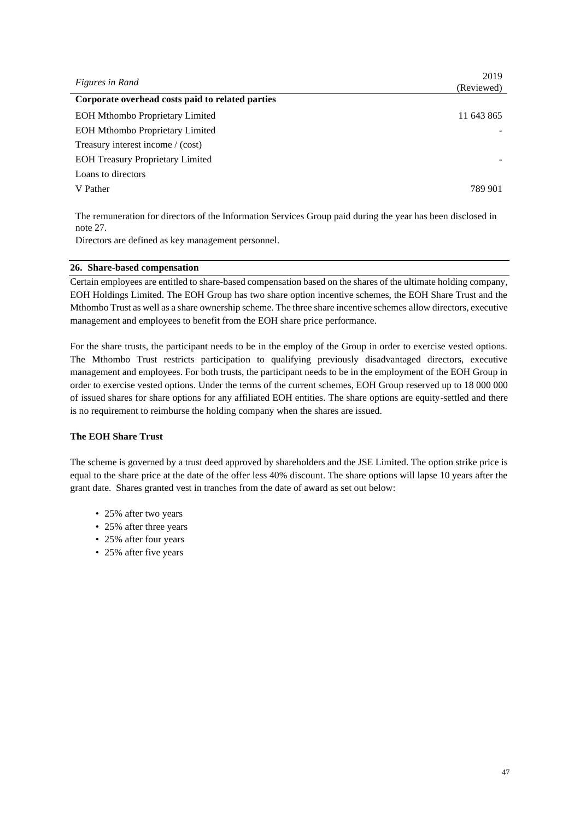| Figures in Rand                                  | 2019       |
|--------------------------------------------------|------------|
|                                                  | (Reviewed) |
| Corporate overhead costs paid to related parties |            |
| <b>EOH Mthombo Proprietary Limited</b>           | 11 643 865 |
| <b>EOH Mthombo Proprietary Limited</b>           |            |
| Treasury interest income / (cost)                |            |
| <b>EOH Treasury Proprietary Limited</b>          |            |
| Loans to directors                               |            |
| V Pather                                         | 789 901    |
|                                                  |            |

The remuneration for directors of the Information Services Group paid during the year has been disclosed in note 27.

Directors are defined as key management personnel.

#### **26. Share-based compensation**

Certain employees are entitled to share-based compensation based on the shares of the ultimate holding company, EOH Holdings Limited. The EOH Group has two share option incentive schemes, the EOH Share Trust and the Mthombo Trust as well as a share ownership scheme. The three share incentive schemes allow directors, executive management and employees to benefit from the EOH share price performance.

For the share trusts, the participant needs to be in the employ of the Group in order to exercise vested options. The Mthombo Trust restricts participation to qualifying previously disadvantaged directors, executive management and employees. For both trusts, the participant needs to be in the employment of the EOH Group in order to exercise vested options. Under the terms of the current schemes, EOH Group reserved up to 18 000 000 of issued shares for share options for any affiliated EOH entities. The share options are equity-settled and there is no requirement to reimburse the holding company when the shares are issued.

## **The EOH Share Trust**

The scheme is governed by a trust deed approved by shareholders and the JSE Limited. The option strike price is equal to the share price at the date of the offer less 40% discount. The share options will lapse 10 years after the grant date. Shares granted vest in tranches from the date of award as set out below:

- 25% after two years
- 25% after three years
- 25% after four years
- 25% after five years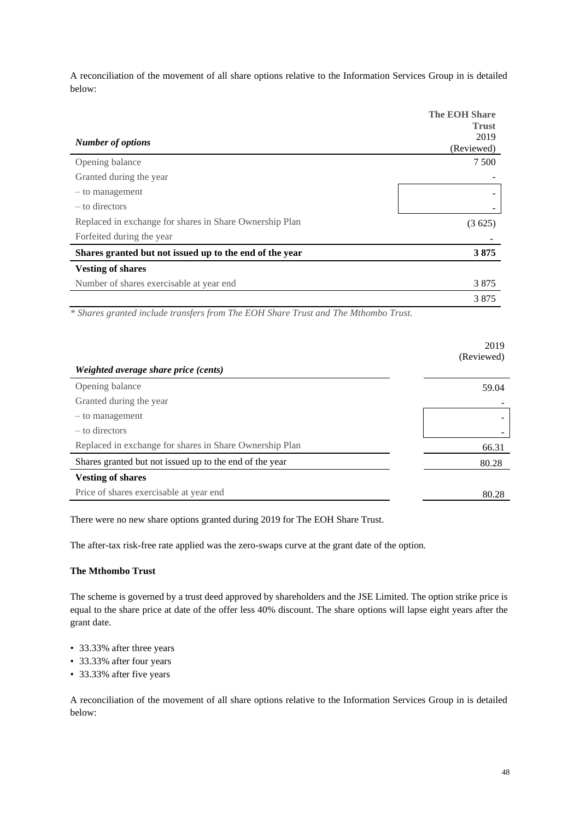A reconciliation of the movement of all share options relative to the Information Services Group in is detailed below:

|                                                         | <b>The EOH Share</b><br><b>Trust</b> |
|---------------------------------------------------------|--------------------------------------|
| <b>Number of options</b>                                | 2019                                 |
|                                                         | (Reviewed)                           |
| Opening balance                                         | 7 500                                |
| Granted during the year                                 |                                      |
| - to management                                         |                                      |
| – to directors                                          |                                      |
| Replaced in exchange for shares in Share Ownership Plan | (3625)                               |
| Forfeited during the year                               |                                      |
| Shares granted but not issued up to the end of the year | 3875                                 |
| <b>Vesting of shares</b>                                |                                      |
| Number of shares exercisable at year end                | 3875                                 |
|                                                         | 3875                                 |

*\* Shares granted include transfers from The EOH Share Trust and The Mthombo Trust.*

|                                                         | 2019<br>(Reviewed) |
|---------------------------------------------------------|--------------------|
| Weighted average share price (cents)                    |                    |
| Opening balance                                         | 59.04              |
| Granted during the year                                 |                    |
| - to management                                         |                    |
| – to directors                                          |                    |
| Replaced in exchange for shares in Share Ownership Plan | 66.31              |
| Shares granted but not issued up to the end of the year | 80.28              |
| <b>Vesting of shares</b>                                |                    |
| Price of shares exercisable at year end                 | 80.28              |

There were no new share options granted during 2019 for The EOH Share Trust.

The after-tax risk-free rate applied was the zero-swaps curve at the grant date of the option.

### **The Mthombo Trust**

The scheme is governed by a trust deed approved by shareholders and the JSE Limited. The option strike price is equal to the share price at date of the offer less 40% discount. The share options will lapse eight years after the grant date.

- 33.33% after three years
- 33.33% after four years
- 33.33% after five years

A reconciliation of the movement of all share options relative to the Information Services Group in is detailed below: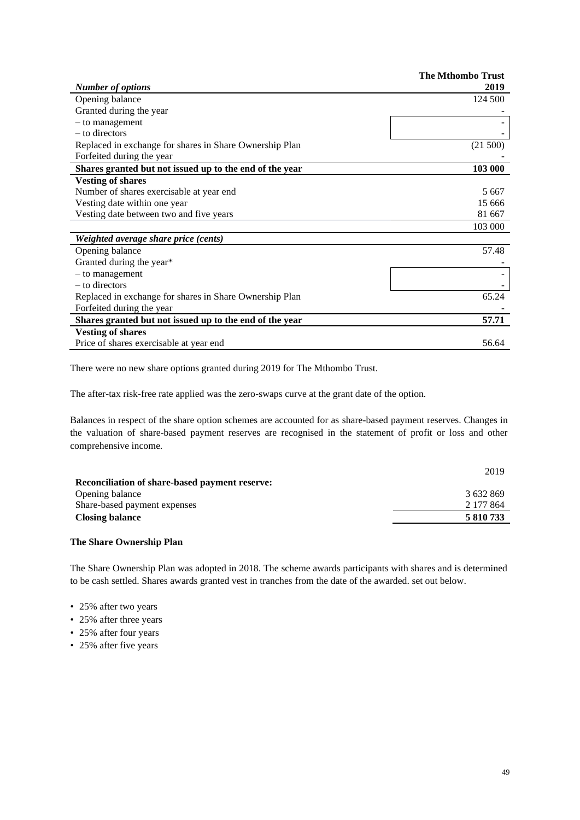|                                                         | <b>The Mthombo Trust</b> |
|---------------------------------------------------------|--------------------------|
| <b>Number of options</b>                                | 2019                     |
| Opening balance                                         | 124 500                  |
| Granted during the year                                 |                          |
| - to management                                         |                          |
| – to directors                                          |                          |
| Replaced in exchange for shares in Share Ownership Plan | (21 500)                 |
| Forfeited during the year                               |                          |
| Shares granted but not issued up to the end of the year | 103 000                  |
| <b>Vesting of shares</b>                                |                          |
| Number of shares exercisable at year end                | 5 6 6 7                  |
| Vesting date within one year                            | 15 666                   |
| Vesting date between two and five years                 | 81 667                   |
|                                                         | 103 000                  |
| Weighted average share price (cents)                    |                          |
| Opening balance                                         | 57.48                    |
| Granted during the year*                                |                          |
| - to management                                         |                          |
| – to directors                                          |                          |
| Replaced in exchange for shares in Share Ownership Plan | 65.24                    |
| Forfeited during the year                               |                          |
| Shares granted but not issued up to the end of the year | 57.71                    |
| <b>Vesting of shares</b>                                |                          |
| Price of shares exercisable at year end                 | 56.64                    |

There were no new share options granted during 2019 for The Mthombo Trust.

The after-tax risk-free rate applied was the zero-swaps curve at the grant date of the option.

Balances in respect of the share option schemes are accounted for as share-based payment reserves. Changes in the valuation of share-based payment reserves are recognised in the statement of profit or loss and other comprehensive income.

|                                                       | 2019      |
|-------------------------------------------------------|-----------|
| <b>Reconciliation of share-based payment reserve:</b> |           |
| Opening balance                                       | 3632869   |
| Share-based payment expenses                          | 2 177 864 |
| <b>Closing balance</b>                                | 5 810 733 |

### **The Share Ownership Plan**

The Share Ownership Plan was adopted in 2018. The scheme awards participants with shares and is determined to be cash settled. Shares awards granted vest in tranches from the date of the awarded. set out below.

- 25% after two years
- 25% after three years
- 25% after four years
- 25% after five years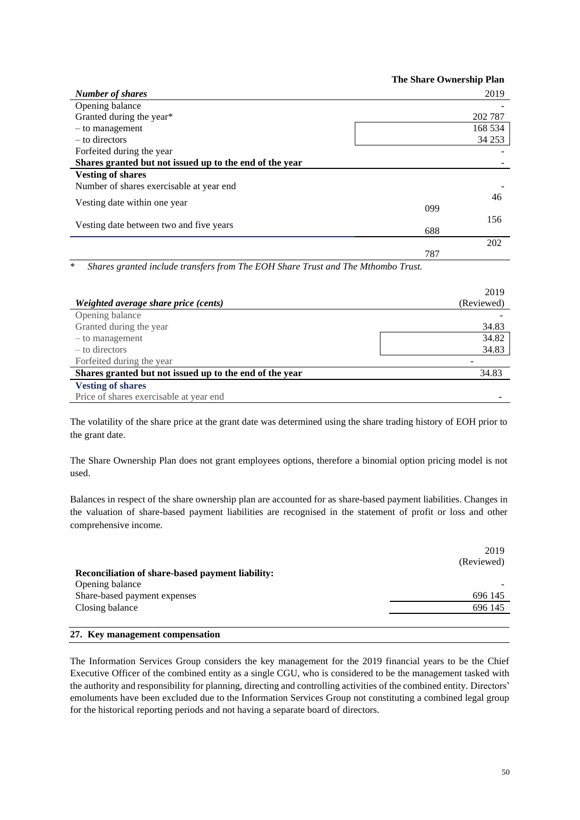|                                                         | <b>The Share Ownership Plan</b> |         |
|---------------------------------------------------------|---------------------------------|---------|
| <b>Number of shares</b>                                 |                                 | 2019    |
| Opening balance                                         |                                 |         |
| Granted during the year*                                |                                 | 202 787 |
| $-$ to management                                       |                                 | 168 534 |
| – to directors                                          |                                 | 34 253  |
| Forfeited during the year                               |                                 |         |
| Shares granted but not issued up to the end of the year |                                 |         |
| <b>Vesting of shares</b>                                |                                 |         |
| Number of shares exercisable at year end                |                                 |         |
| Vesting date within one year                            |                                 | 46      |
|                                                         | 099                             |         |
| Vesting date between two and five years                 |                                 | 156     |
|                                                         | 688                             |         |
|                                                         |                                 | 202     |
|                                                         | 787                             |         |

\* *Shares granted include transfers from The EOH Share Trust and The Mthombo Trust.*

|                                                         | 2019       |
|---------------------------------------------------------|------------|
| Weighted average share price (cents)                    | (Reviewed) |
| Opening balance                                         |            |
| Granted during the year                                 | 34.83      |
| $-$ to management                                       | 34.82      |
| – to directors                                          | 34.83      |
| Forfeited during the year                               |            |
| Shares granted but not issued up to the end of the year | 34.83      |
| <b>Vesting of shares</b>                                |            |
| Price of shares exercisable at year end                 |            |

The volatility of the share price at the grant date was determined using the share trading history of EOH prior to the grant date.

The Share Ownership Plan does not grant employees options, therefore a binomial option pricing model is not used.

Balances in respect of the share ownership plan are accounted for as share-based payment liabilities. Changes in the valuation of share-based payment liabilities are recognised in the statement of profit or loss and other comprehensive income.

|                                                         | 2019       |
|---------------------------------------------------------|------------|
|                                                         | (Reviewed) |
| <b>Reconciliation of share-based payment liability:</b> |            |
| Opening balance                                         |            |
| Share-based payment expenses                            | 696 145    |
| Closing balance                                         | 696 145    |
|                                                         |            |

## **27. Key management compensation**

The Information Services Group considers the key management for the 2019 financial years to be the Chief Executive Officer of the combined entity as a single CGU, who is considered to be the management tasked with the authority and responsibility for planning, directing and controlling activities of the combined entity. Directors' emoluments have been excluded due to the Information Services Group not constituting a combined legal group for the historical reporting periods and not having a separate board of directors.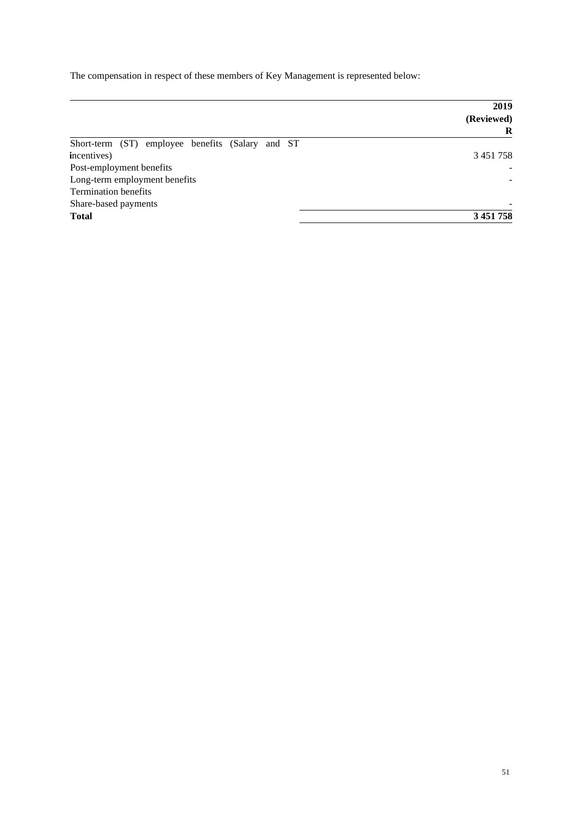The compensation in respect of these members of Key Management is represented below:

| 2019          |  |
|---------------|--|
| (Reviewed)    |  |
| R             |  |
|               |  |
| 3 4 5 1 7 5 8 |  |
|               |  |
|               |  |
|               |  |
|               |  |
| 3 451 758     |  |
|               |  |